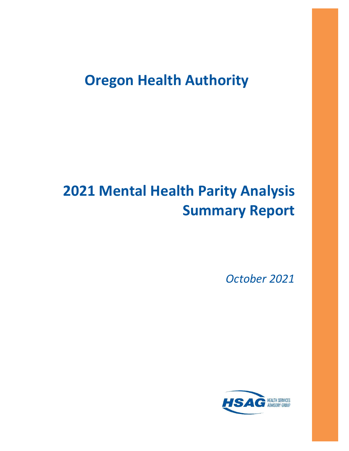# **Oregon Health Authority**

# **2021 Mental Health Parity Analysis Summary Report**

*October 2021*

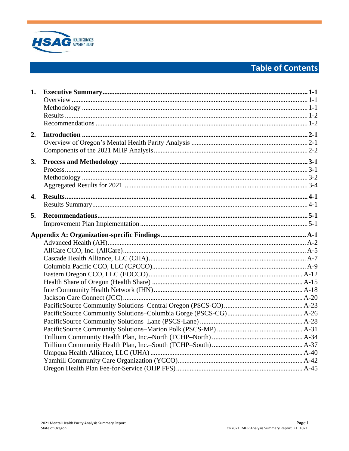

# **Table of Contents**

| 1. |  |
|----|--|
| 2. |  |
| 3. |  |
| 4. |  |
| 5. |  |
|    |  |
|    |  |
|    |  |
|    |  |
|    |  |
|    |  |
|    |  |
|    |  |
|    |  |
|    |  |
|    |  |
|    |  |
|    |  |
|    |  |
|    |  |
|    |  |
|    |  |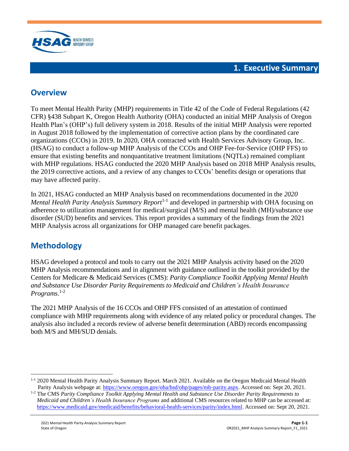

## <span id="page-2-1"></span><span id="page-2-0"></span>**Overview**

To meet Mental Health Parity (MHP) requirements in Title 42 of the Code of Federal Regulations (42 CFR) §438 Subpart K, Oregon Health Authority (OHA) conducted an initial MHP Analysis of Oregon Health Plan's (OHP's) full delivery system in 2018. Results of the initial MHP Analysis were reported in August 2018 followed by the implementation of corrective action plans by the coordinated care organizations (CCOs) in 2019. In 2020, OHA contracted with Health Services Advisory Group, Inc. (HSAG) to conduct a follow-up MHP Analysis of the CCOs and OHP Fee-for-Service (OHP FFS) to ensure that existing benefits and nonquantitative treatment limitations (NQTLs) remained compliant with MHP regulations. HSAG conducted the 2020 MHP Analysis based on 2018 MHP Analysis results, the 2019 corrective actions, and a review of any changes to CCOs' benefits design or operations that may have affected parity.

In 2021, HSAG conducted an MHP Analysis based on recommendations documented in the *2020*  Mental Health Parity Analysis Summary Report<sup>1-1</sup> and developed in partnership with OHA focusing on adherence to utilization management for medical/surgical (M/S) and mental health (MH)/substance use disorder (SUD) benefits and services. This report provides a summary of the findings from the 2021 MHP Analysis across all organizations for OHP managed care benefit packages.

## <span id="page-2-2"></span>**Methodology**

HSAG developed a protocol and tools to carry out the 2021 MHP Analysis activity based on the 2020 MHP Analysis recommendations and in alignment with guidance outlined in the toolkit provided by the Centers for Medicare & Medicaid Services (CMS): *Parity Compliance Toolkit Applying Mental Health and Substance Use Disorder Parity Requirements to Medicaid and Children's Health Insurance Programs*. 1-2

The 2021 MHP Analysis of the 16 CCOs and OHP FFS consisted of an attestation of continued compliance with MHP requirements along with evidence of any related policy or procedural changes. The analysis also included a records review of adverse benefit determination (ABD) records encompassing both M/S and MH/SUD denials.

<sup>1-1</sup> 2020 Mental Health Parity Analysis Summary Report. March 2021. Available on the Oregon Medicaid Mental Health Parity Analysis webpage at[: https://www.oregon.gov/oha/hsd/ohp/pages/mh-parity.aspx.](https://www.oregon.gov/oha/hsd/ohp/pages/mh-parity.aspx) Accessed on: Sept 20, 2021.

<sup>1-2</sup> The CMS *Parity Compliance Toolkit Applying Mental Health and Substance Use Disorder Parity Requirements to Medicaid and Children's Health Insurance Programs* and additional CMS resources related to MHP can be accessed at: [https://www.medicaid.gov/medicaid/benefits/behavioral-health-services/parity/index.html.](https://www.medicaid.gov/medicaid/benefits/behavioral-health-services/parity/index.html) Accessed on: Sept 20, 2021.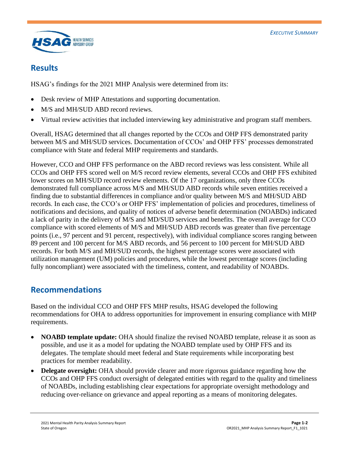

### <span id="page-3-0"></span>**Results**

HSAG's findings for the 2021 MHP Analysis were determined from its:

- Desk review of MHP Attestations and supporting documentation.
- M/S and MH/SUD ABD record reviews.
- Virtual review activities that included interviewing key administrative and program staff members.

Overall, HSAG determined that all changes reported by the CCOs and OHP FFS demonstrated parity between M/S and MH/SUD services. Documentation of CCOs' and OHP FFS' processes demonstrated compliance with State and federal MHP requirements and standards.

However, CCO and OHP FFS performance on the ABD record reviews was less consistent. While all CCOs and OHP FFS scored well on M/S record review elements, several CCOs and OHP FFS exhibited lower scores on MH/SUD record review elements. Of the 17 organizations, only three CCOs demonstrated full compliance across M/S and MH/SUD ABD records while seven entities received a finding due to substantial differences in compliance and/or quality between M/S and MH/SUD ABD records. In each case, the CCO's or OHP FFS' implementation of policies and procedures, timeliness of notifications and decisions, and quality of notices of adverse benefit determination (NOABDs) indicated a lack of parity in the delivery of M/S and MD/SUD services and benefits. The overall average for CCO compliance with scored elements of M/S and MH/SUD ABD records was greater than five percentage points (i.e., 97 percent and 91 percent, respectively), with individual compliance scores ranging between 89 percent and 100 percent for M/S ABD records, and 56 percent to 100 percent for MH/SUD ABD records. For both M/S and MH/SUD records, the highest percentage scores were associated with utilization management (UM) policies and procedures, while the lowest percentage scores (including fully noncompliant) were associated with the timeliness, content, and readability of NOABDs.

## <span id="page-3-1"></span>**Recommendations**

Based on the individual CCO and OHP FFS MHP results, HSAG developed the following recommendations for OHA to address opportunities for improvement in ensuring compliance with MHP requirements.

- **NOABD template update:** OHA should finalize the revised NOABD template, release it as soon as possible, and use it as a model for updating the NOABD template used by OHP FFS and its delegates. The template should meet federal and State requirements while incorporating best practices for member readability.
- **Delegate oversight:** OHA should provide clearer and more rigorous guidance regarding how the CCOs and OHP FFS conduct oversight of delegated entities with regard to the quality and timeliness of NOABDs, including establishing clear expectations for appropriate oversight methodology and reducing over-reliance on grievance and appeal reporting as a means of monitoring delegates.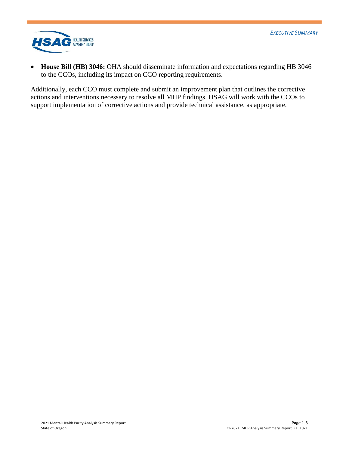

• **House Bill (HB) 3046:** OHA should disseminate information and expectations regarding HB 3046 to the CCOs, including its impact on CCO reporting requirements.

Additionally, each CCO must complete and submit an improvement plan that outlines the corrective actions and interventions necessary to resolve all MHP findings. HSAG will work with the CCOs to support implementation of corrective actions and provide technical assistance, as appropriate.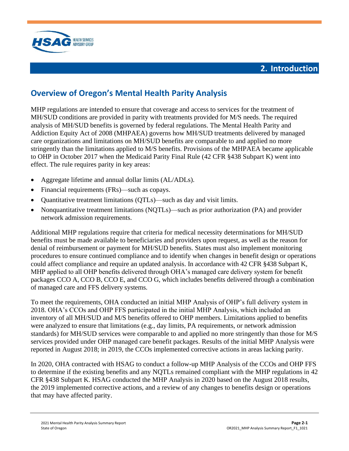



## <span id="page-5-1"></span><span id="page-5-0"></span>**Overview of Oregon's Mental Health Parity Analysis**

MHP regulations are intended to ensure that coverage and access to services for the treatment of MH/SUD conditions are provided in parity with treatments provided for M/S needs. The required analysis of MH/SUD benefits is governed by federal regulations. The Mental Health Parity and Addiction Equity Act of 2008 (MHPAEA) governs how MH/SUD treatments delivered by managed care organizations and limitations on MH/SUD benefits are comparable to and applied no more stringently than the limitations applied to M/S benefits. Provisions of the MHPAEA became applicable to OHP in October 2017 when the Medicaid Parity Final Rule (42 CFR §438 Subpart K) went into effect. The rule requires parity in key areas:

- Aggregate lifetime and annual dollar limits (AL/ADLs).
- Financial requirements (FRs)—such as copays.
- Quantitative treatment limitations (QTLs)—such as day and visit limits.
- Nonquantitative treatment limitations (NQTLs)—such as prior authorization (PA) and provider network admission requirements.

Additional MHP regulations require that criteria for medical necessity determinations for MH/SUD benefits must be made available to beneficiaries and providers upon request, as well as the reason for denial of reimbursement or payment for MH/SUD benefits. States must also implement monitoring procedures to ensure continued compliance and to identify when changes in benefit design or operations could affect compliance and require an updated analysis. In accordance with 42 CFR §438 Subpart K, MHP applied to all OHP benefits delivered through OHA's managed care delivery system for benefit packages CCO A, CCO B, CCO E, and CCO G, which includes benefits delivered through a combination of managed care and FFS delivery systems.

To meet the requirements, OHA conducted an initial MHP Analysis of OHP's full delivery system in 2018. OHA's CCOs and OHP FFS participated in the initial MHP Analysis, which included an inventory of all MH/SUD and M/S benefits offered to OHP members. Limitations applied to benefits were analyzed to ensure that limitations (e.g., day limits, PA requirements, or network admission standards) for MH/SUD services were comparable to and applied no more stringently than those for M/S services provided under OHP managed care benefit packages. Results of the initial MHP Analysis were reported in August 2018; in 2019, the CCOs implemented corrective actions in areas lacking parity.

In 2020, OHA contracted with HSAG to conduct a follow-up MHP Analysis of the CCOs and OHP FFS to determine if the existing benefits and any NQTLs remained compliant with the MHP regulations in 42 CFR §438 Subpart K. HSAG conducted the MHP Analysis in 2020 based on the August 2018 results, the 2019 implemented corrective actions, and a review of any changes to benefits design or operations that may have affected parity.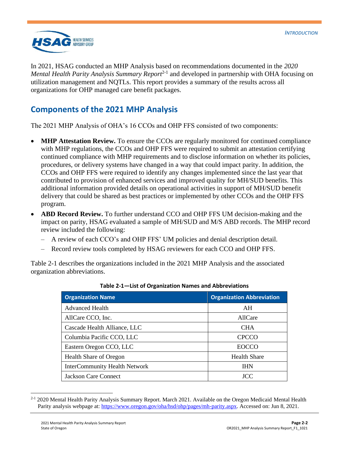

In 2021, HSAG conducted an MHP Analysis based on recommendations documented in the *2020*  Mental Health Parity Analysis Summary Report<sup>2-1</sup> and developed in partnership with OHA focusing on utilization management and NQTLs. This report provides a summary of the results across all organizations for OHP managed care benefit packages.

## <span id="page-6-0"></span>**Components of the 2021 MHP Analysis**

The 2021 MHP Analysis of OHA's 16 CCOs and OHP FFS consisted of two components:

- **MHP Attestation Review.** To ensure the CCOs are regularly monitored for continued compliance with MHP regulations, the CCOs and OHP FFS were required to submit an attestation certifying continued compliance with MHP requirements and to disclose information on whether its policies, procedures, or delivery systems have changed in a way that could impact parity. In addition, the CCOs and OHP FFS were required to identify any changes implemented since the last year that contributed to provision of enhanced services and improved quality for MH/SUD benefits. This additional information provided details on operational activities in support of MH/SUD benefit delivery that could be shared as best practices or implemented by other CCOs and the OHP FFS program.
- **ABD Record Review.** To further understand CCO and OHP FFS UM decision-making and the impact on parity, HSAG evaluated a sample of MH/SUD and M/S ABD records. The MHP record review included the following:
	- A review of each CCO's and OHP FFS' UM policies and denial description detail.
	- Record review tools completed by HSAG reviewers for each CCO and OHP FFS.

<span id="page-6-1"></span>[Table 2-1](#page-6-1) describes the organizations included in the 2021 MHP Analysis and the associated organization abbreviations.

| <b>Organization Name</b>             | <b>Organization Abbreviation</b> |
|--------------------------------------|----------------------------------|
| <b>Advanced Health</b>               | AH                               |
| AllCare CCO, Inc.                    | AllCare                          |
| Cascade Health Alliance, LLC         | <b>CHA</b>                       |
| Columbia Pacific CCO, LLC            | <b>CPCCO</b>                     |
| Eastern Oregon CCO, LLC              | EOCCO                            |
| <b>Health Share of Oregon</b>        | <b>Health Share</b>              |
| <b>InterCommunity Health Network</b> | <b>IHN</b>                       |
| <b>Jackson Care Connect</b>          | JCC                              |

**Table 2-1—List of Organization Names and Abbreviations**

<sup>&</sup>lt;sup>2-1</sup> 2020 Mental Health Parity Analysis Summary Report. March 2021. Available on the Oregon Medicaid Mental Health Parity analysis webpage at: [https://www.oregon.gov/oha/hsd/ohp/pages/mh-parity.aspx.](https://www.oregon.gov/oha/hsd/ohp/pages/mh-parity.aspx) Accessed on: Jun 8, 2021.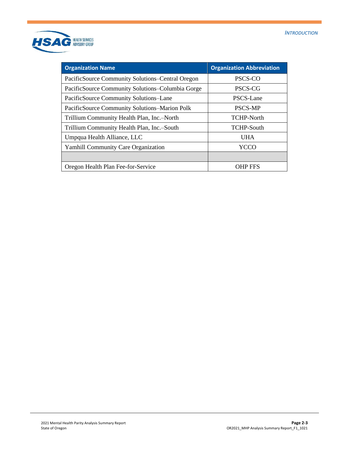

| <b>Organization Name</b>                         | <b>Organization Abbreviation</b> |
|--------------------------------------------------|----------------------------------|
| PacificSource Community Solutions–Central Oregon | PSCS-CO                          |
| PacificSource Community Solutions–Columbia Gorge | PSCS-CG                          |
| PacificSource Community Solutions-Lane           | PSCS-Lane                        |
| PacificSource Community Solutions–Marion Polk    | <b>PSCS-MP</b>                   |
| Trillium Community Health Plan, Inc.-North       | <b>TCHP-North</b>                |
| Trillium Community Health Plan, Inc.-South       | <b>TCHP-South</b>                |
| Umpqua Health Alliance, LLC                      | <b>UHA</b>                       |
| <b>Yamhill Community Care Organization</b>       | YCCO                             |
|                                                  |                                  |
| Oregon Health Plan Fee-for-Service               | OHP FFS                          |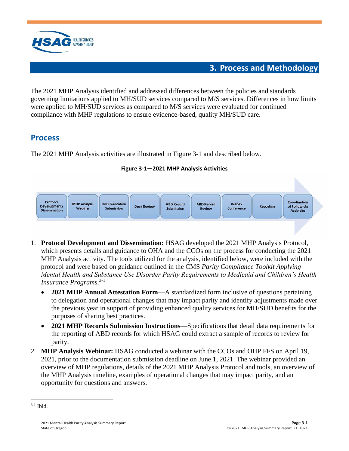

## **3. Process and Methodology**

<span id="page-8-0"></span>The 2021 MHP Analysis identified and addressed differences between the policies and standards governing limitations applied to MH/SUD services compared to M/S services. Differences in how limits were applied to MH/SUD services as compared to M/S services were evaluated for continued compliance with MHP regulations to ensure evidence-based, quality MH/SUD care.

## <span id="page-8-1"></span>**Process**

<span id="page-8-2"></span>The 2021 MHP Analysis activities are illustrated in [Figure 3-1](#page-8-2) and described below.





- 1. **Protocol Development and Dissemination:** HSAG developed the 2021 MHP Analysis Protocol, which presents details and guidance to OHA and the CCOs on the process for conducting the 2021 MHP Analysis activity. The tools utilized for the analysis, identified below, were included with the protocol and were based on guidance outlined in the CMS *Parity Compliance Toolkit Applying Mental Health and Substance Use Disorder Parity Requirements to Medicaid and Children's Health Insurance Programs*. 3-1
	- **2021 MHP Annual Attestation Form**—A standardized form inclusive of questions pertaining to delegation and operational changes that may impact parity and identify adjustments made over the previous year in support of providing enhanced quality services for MH/SUD benefits for the purposes of sharing best practices.
	- **2021 MHP Records Submission Instructions**—Specifications that detail data requirements for the reporting of ABD records for which HSAG could extract a sample of records to review for parity.
- 2. **MHP Analysis Webinar:** HSAG conducted a webinar with the CCOs and OHP FFS on April 19, 2021, prior to the documentation submission deadline on June 1, 2021. The webinar provided an overview of MHP regulations, details of the 2021 MHP Analysis Protocol and tools, an overview of the MHP Analysis timeline, examples of operational changes that may impact parity, and an opportunity for questions and answers.

<sup>3-1</sup> Ibid.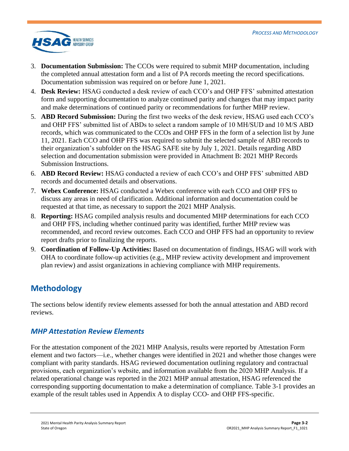

- 3. **Documentation Submission:** The CCOs were required to submit MHP documentation, including the completed annual attestation form and a list of PA records meeting the record specifications. Documentation submission was required on or before June 1, 2021.
- 4. **Desk Review:** HSAG conducted a desk review of each CCO's and OHP FFS' submitted attestation form and supporting documentation to analyze continued parity and changes that may impact parity and make determinations of continued parity or recommendations for further MHP review.
- 5. **ABD Record Submission:** During the first two weeks of the desk review, HSAG used each CCO's and OHP FFS' submitted list of ABDs to select a random sample of 10 MH/SUD and 10 M/S ABD records, which was communicated to the CCOs and OHP FFS in the form of a selection list by June 11, 2021. Each CCO and OHP FFS was required to submit the selected sample of ABD records to their organization's subfolder on the HSAG SAFE site by July 1, 2021. Details regarding ABD selection and documentation submission were provided in Attachment B: 2021 MHP Records Submission Instructions.
- 6. **ABD Record Review:** HSAG conducted a review of each CCO's and OHP FFS' submitted ABD records and documented details and observations.
- 7. **Webex Conference:** HSAG conducted a Webex conference with each CCO and OHP FFS to discuss any areas in need of clarification. Additional information and documentation could be requested at that time, as necessary to support the 2021 MHP Analysis.
- 8. **Reporting:** HSAG compiled analysis results and documented MHP determinations for each CCO and OHP FFS, including whether continued parity was identified, further MHP review was recommended, and record review outcomes. Each CCO and OHP FFS had an opportunity to review report drafts prior to finalizing the reports.
- 9. **Coordination of Follow-Up Activities:** Based on documentation of findings, HSAG will work with OHA to coordinate follow-up activities (e.g., MHP review activity development and improvement plan review) and assist organizations in achieving compliance with MHP requirements.

## <span id="page-9-0"></span>**Methodology**

The sections below identify review elements assessed for both the annual attestation and ABD record reviews.

### *MHP Attestation Review Elements*

For the attestation component of the 2021 MHP Analysis, results were reported by Attestation Form element and two factors—i.e., whether changes were identified in 2021 and whether those changes were compliant with parity standards. HSAG reviewed documentation outlining regulatory and contractual provisions, each organization's website, and information available from the 2020 MHP Analysis. If a related operational change was reported in the 2021 MHP annual attestation, HSAG referenced the corresponding supporting documentation to make a determination of compliance. [Table 3-1](#page-10-0) provides an example of the result tables used in Appendix A to display CCO- and OHP FFS-specific.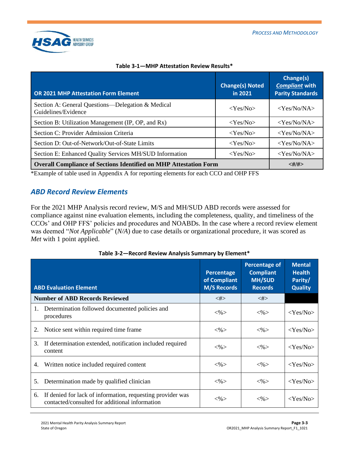

<span id="page-10-0"></span>

| <b>OR 2021 MHP Attestation Form Element</b>                              | <b>Change(s) Noted</b><br>in 2021 | Change(s)<br><b>Compliant with</b><br><b>Parity Standards</b> |
|--------------------------------------------------------------------------|-----------------------------------|---------------------------------------------------------------|
| Section A: General Questions—Delegation & Medical<br>Guidelines/Evidence | $<$ Yes/No>                       | $<$ Yes/No/NA $>$                                             |
| Section B: Utilization Management (IP, OP, and Rx)                       | $<$ Yes/No $>$                    | $<$ Yes/No/NA $>$                                             |
| Section C: Provider Admission Criteria                                   | $<$ Yes/No $>$                    | $<$ Yes/No/NA $>$                                             |
| Section D: Out-of-Network/Out-of-State Limits                            | $<$ Yes/No $>$                    | $<$ Yes/No/NA>                                                |
| Section E: Enhanced Quality Services MH/SUD Information                  | $<$ Yes/No $>$                    | $<$ Yes/No/NA $>$                                             |
| <b>Overall Compliance of Sections Identified on MHP Attestation Form</b> | <#/#>                             |                                                               |

### **Table 3-1—MHP Attestation Review Results\***

\*Example of table used in Appendix A for reporting elements for each CCO and OHP FFS

### *ABD Record Review Elements*

For the 2021 MHP Analysis record review, M/S and MH/SUD ABD records were assessed for compliance against nine evaluation elements, including the completeness, quality, and timeliness of the CCOs' and OHP FFS' policies and procedures and NOABDs. In the case where a record review element was deemed "*Not Applicable*" (*N/A*) due to case details or organizational procedure, it was scored as *Met* with 1 point applied.

|    | <b>ABD Evaluation Element</b>                                                                                | Percentage<br>of Compliant<br><b>M/S Records</b> | <b>Percentage of</b><br><b>Compliant</b><br><b>MH/SUD</b><br><b>Records</b> | <b>Mental</b><br><b>Health</b><br>Parity/<br><b>Quality</b> |
|----|--------------------------------------------------------------------------------------------------------------|--------------------------------------------------|-----------------------------------------------------------------------------|-------------------------------------------------------------|
|    | <b>Number of ABD Records Reviewed</b>                                                                        | $<\neq>$                                         | $<\neq>$                                                                    |                                                             |
| 1. | Determination followed documented policies and<br>procedures                                                 | $<\!\!\%$                                        | $<\!\!\%$                                                                   | $<$ Yes/No>                                                 |
| 2. | Notice sent within required time frame.                                                                      | $<\!\%$                                          | $<\!\%$                                                                     | $<$ Yes/No>                                                 |
| 3. | If determination extended, notification included required<br>content                                         | $<\!\%>$                                         | $<\!\%$                                                                     | $<$ Yes/No>                                                 |
| 4. | Written notice included required content                                                                     | $<\!\%>$                                         | $<\!\%>$                                                                    | $<$ Yes/No>                                                 |
| 5. | Determination made by qualified clinician                                                                    | $<\!\!\%$                                        | $<\!\!\%$                                                                   | $<$ Yes/No>                                                 |
| 6. | If denied for lack of information, requesting provider was<br>contacted/consulted for additional information | $<\!\%>$                                         | $<\!\%$                                                                     | $<$ Yes/No>                                                 |

**Table 3-2—Record Review Analysis Summary by Element\***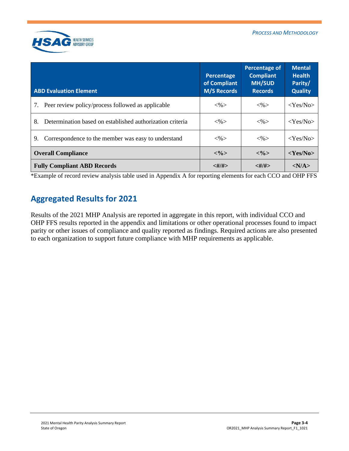

| <b>ABD Evaluation Element</b>                                   | Percentage<br>of Compliant<br><b>M/S Records</b> | Percentage of<br><b>Compliant</b><br><b>MH/SUD</b><br><b>Records</b> | <b>Mental</b><br><b>Health</b><br>Parity/<br><b>Quality</b> |
|-----------------------------------------------------------------|--------------------------------------------------|----------------------------------------------------------------------|-------------------------------------------------------------|
| Peer review policy/process followed as applicable<br>7.         | $<\!\%$                                          | $<\!\%$                                                              | $<$ Yes/No>                                                 |
| Determination based on established authorization criteria<br>8. | $<\!\%>$                                         | $<\!\%$                                                              | $<$ Yes/No>                                                 |
| Correspondence to the member was easy to understand<br>9.       | $<\!\%$                                          | $<\!\%$                                                              | $<$ Yes/No>                                                 |
| <b>Overall Compliance</b>                                       | $<\!\frac{9}{2}$                                 | $<\!\frac{9}{2}$                                                     | $<$ Yes/No>                                                 |
| <b>Fully Compliant ABD Records</b>                              | <#/#>                                            | <#/#>                                                                | < N/A >                                                     |

<span id="page-11-0"></span>\*Example of record review analysis table used in Appendix A for reporting elements for each CCO and OHP FFS

## **Aggregated Results for 2021**

Results of the 2021 MHP Analysis are reported in aggregate in this report, with individual CCO and OHP FFS results reported in the appendix and limitations or other operational processes found to impact parity or other issues of compliance and quality reported as findings. Required actions are also presented to each organization to support future compliance with MHP requirements as applicable.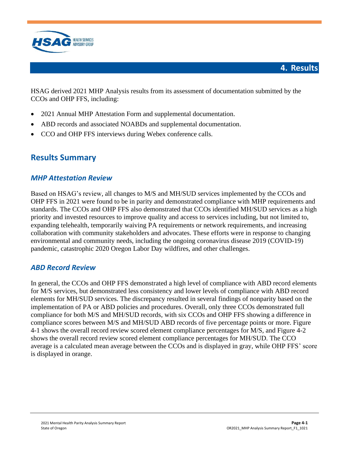

<span id="page-12-0"></span>HSAG derived 2021 MHP Analysis results from its assessment of documentation submitted by the CCOs and OHP FFS, including:

- 2021 Annual MHP Attestation Form and supplemental documentation.
- ABD records and associated NOABDs and supplemental documentation.
- <span id="page-12-1"></span>• CCO and OHP FFS interviews during Webex conference calls.

## **Results Summary**

### *MHP Attestation Review*

Based on HSAG's review, all changes to M/S and MH/SUD services implemented by the CCOs and OHP FFS in 2021 were found to be in parity and demonstrated compliance with MHP requirements and standards. The CCOs and OHP FFS also demonstrated that CCOs identified MH/SUD services as a high priority and invested resources to improve quality and access to services including, but not limited to, expanding telehealth, temporarily waiving PA requirements or network requirements, and increasing collaboration with community stakeholders and advocates. These efforts were in response to changing environmental and community needs, including the ongoing coronavirus disease 2019 (COVID-19) pandemic, catastrophic 2020 Oregon Labor Day wildfires, and other challenges.

### *ABD Record Review*

In general, the CCOs and OHP FFS demonstrated a high level of compliance with ABD record elements for M/S services, but demonstrated less consistency and lower levels of compliance with ABD record elements for MH/SUD services. The discrepancy resulted in several findings of nonparity based on the implementation of PA or ABD policies and procedures. Overall, only three CCOs demonstrated full compliance for both M/S and MH/SUD records, with six CCOs and OHP FFS showing a difference in compliance scores between M/S and MH/SUD ABD records of five percentage points or more. [Figure](#page-13-0)  [4-1](#page-13-0) shows the overall record review scored element compliance percentages for M/S, and [Figure 4-2](#page-14-0) shows the overall record review scored element compliance percentages for MH/SUD. The CCO average is a calculated mean average between the CCOs and is displayed in gray, while OHP FFS' score is displayed in orange.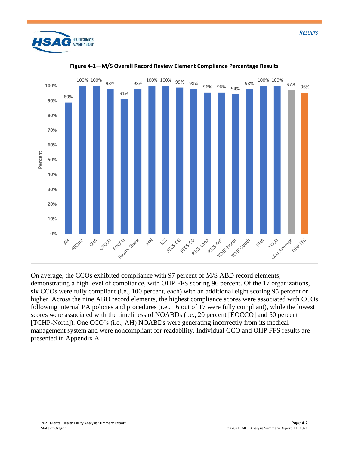

<span id="page-13-0"></span>

**Figure 4-1—M/S Overall Record Review Element Compliance Percentage Results**

On average, the CCOs exhibited compliance with 97 percent of M/S ABD record elements, demonstrating a high level of compliance, with OHP FFS scoring 96 percent. Of the 17 organizations, six CCOs were fully compliant (i.e., 100 percent, each) with an additional eight scoring 95 percent or higher. Across the nine ABD record elements, the highest compliance scores were associated with CCOs following internal PA policies and procedures (i.e., 16 out of 17 were fully compliant), while the lowest scores were associated with the timeliness of NOABDs (i.e., 20 percent [EOCCO] and 50 percent [TCHP-North]). One CCO's (i.e., AH) NOABDs were generating incorrectly from its medical management system and were noncompliant for readability. Individual CCO and OHP FFS results are presented in Appendix A.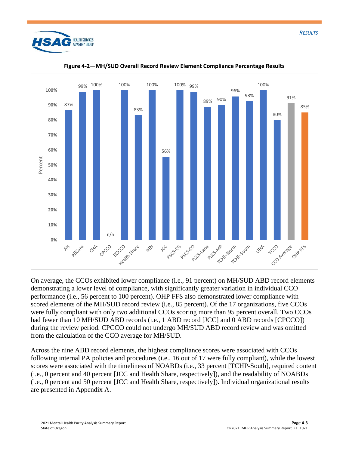

<span id="page-14-0"></span>

**Figure 4-2—MH/SUD Overall Record Review Element Compliance Percentage Results**

On average, the CCOs exhibited lower compliance (i.e., 91 percent) on MH/SUD ABD record elements demonstrating a lower level of compliance, with significantly greater variation in individual CCO performance (i.e., 56 percent to 100 percent). OHP FFS also demonstrated lower compliance with scored elements of the MH/SUD record review (i.e., 85 percent). Of the 17 organizations, five CCOs were fully compliant with only two additional CCOs scoring more than 95 percent overall. Two CCOs had fewer than 10 MH/SUD ABD records (i.e., 1 ABD record [JCC] and 0 ABD records [CPCCO]) during the review period. CPCCO could not undergo MH/SUD ABD record review and was omitted from the calculation of the CCO average for MH/SUD.

Across the nine ABD record elements, the highest compliance scores were associated with CCOs following internal PA policies and procedures (i.e., 16 out of 17 were fully compliant), while the lowest scores were associated with the timeliness of NOABDs (i.e., 33 percent [TCHP-South], required content (i.e., 0 percent and 40 percent [JCC and Health Share, respectively]), and the readability of NOABDs (i.e., 0 percent and 50 percent [JCC and Health Share, respectively]). Individual organizational results are presented in Appendix A.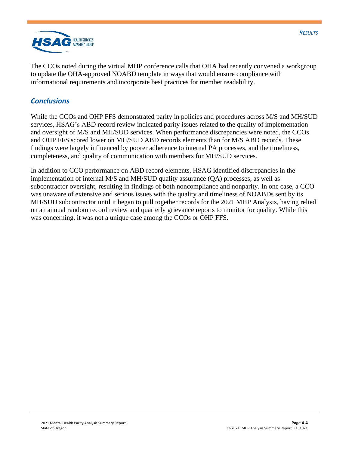

The CCOs noted during the virtual MHP conference calls that OHA had recently convened a workgroup to update the OHA-approved NOABD template in ways that would ensure compliance with informational requirements and incorporate best practices for member readability.

### *Conclusions*

While the CCOs and OHP FFS demonstrated parity in policies and procedures across M/S and MH/SUD services, HSAG's ABD record review indicated parity issues related to the quality of implementation and oversight of M/S and MH/SUD services. When performance discrepancies were noted, the CCOs and OHP FFS scored lower on MH/SUD ABD records elements than for M/S ABD records. These findings were largely influenced by poorer adherence to internal PA processes, and the timeliness, completeness, and quality of communication with members for MH/SUD services.

In addition to CCO performance on ABD record elements, HSAG identified discrepancies in the implementation of internal M/S and MH/SUD quality assurance (QA) processes, as well as subcontractor oversight, resulting in findings of both noncompliance and nonparity. In one case, a CCO was unaware of extensive and serious issues with the quality and timeliness of NOABDs sent by its MH/SUD subcontractor until it began to pull together records for the 2021 MHP Analysis, having relied on an annual random record review and quarterly grievance reports to monitor for quality. While this was concerning, it was not a unique case among the CCOs or OHP FFS.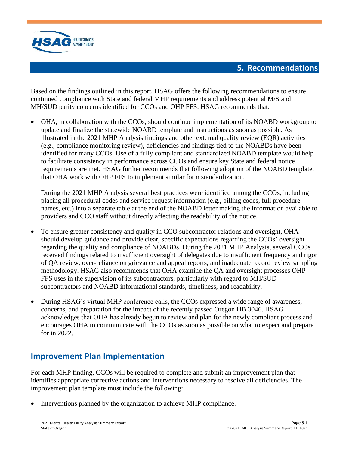

## **5. Recommendations**

<span id="page-16-0"></span>Based on the findings outlined in this report, HSAG offers the following recommendations to ensure continued compliance with State and federal MHP requirements and address potential M/S and MH/SUD parity concerns identified for CCOs and OHP FFS. HSAG recommends that:

• OHA, in collaboration with the CCOs, should continue implementation of its NOABD workgroup to update and finalize the statewide NOABD template and instructions as soon as possible. As illustrated in the 2021 MHP Analysis findings and other external quality review (EQR) activities (e.g., compliance monitoring review), deficiencies and findings tied to the NOABDs have been identified for many CCOs. Use of a fully compliant and standardized NOABD template would help to facilitate consistency in performance across CCOs and ensure key State and federal notice requirements are met. HSAG further recommends that following adoption of the NOABD template, that OHA work with OHP FFS to implement similar form standardization.

During the 2021 MHP Analysis several best practices were identified among the CCOs, including placing all procedural codes and service request information (e.g., billing codes, full procedure names, etc.) into a separate table at the end of the NOABD letter making the information available to providers and CCO staff without directly affecting the readability of the notice.

- To ensure greater consistency and quality in CCO subcontractor relations and oversight, OHA should develop guidance and provide clear, specific expectations regarding the CCOs' oversight regarding the quality and compliance of NOABDs. During the 2021 MHP Analysis, several CCOs received findings related to insufficient oversight of delegates due to insufficient frequency and rigor of QA review, over-reliance on grievance and appeal reports, and inadequate record review sampling methodology. HSAG also recommends that OHA examine the QA and oversight processes OHP FFS uses in the supervision of its subcontractors, particularly with regard to MH/SUD subcontractors and NOABD informational standards, timeliness, and readability.
- During HSAG's virtual MHP conference calls, the CCOs expressed a wide range of awareness, concerns, and preparation for the impact of the recently passed Oregon HB 3046. HSAG acknowledges that OHA has already begun to review and plan for the newly compliant process and encourages OHA to communicate with the CCOs as soon as possible on what to expect and prepare for in 2022.

## <span id="page-16-1"></span>**Improvement Plan Implementation**

For each MHP finding, CCOs will be required to complete and submit an improvement plan that identifies appropriate corrective actions and interventions necessary to resolve all deficiencies. The improvement plan template must include the following:

• Interventions planned by the organization to achieve MHP compliance.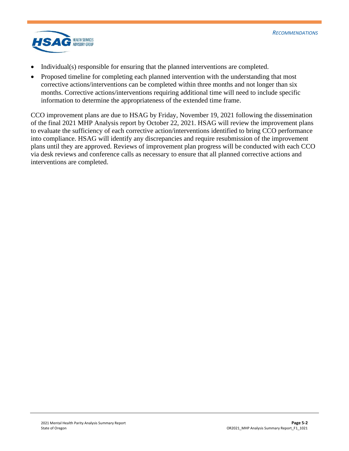

- Individual(s) responsible for ensuring that the planned interventions are completed.
- Proposed timeline for completing each planned intervention with the understanding that most corrective actions/interventions can be completed within three months and not longer than six months. Corrective actions/interventions requiring additional time will need to include specific information to determine the appropriateness of the extended time frame.

CCO improvement plans are due to HSAG by Friday, November 19, 2021 following the dissemination of the final 2021 MHP Analysis report by October 22, 2021. HSAG will review the improvement plans to evaluate the sufficiency of each corrective action/interventions identified to bring CCO performance into compliance. HSAG will identify any discrepancies and require resubmission of the improvement plans until they are approved. Reviews of improvement plan progress will be conducted with each CCO via desk reviews and conference calls as necessary to ensure that all planned corrective actions and interventions are completed.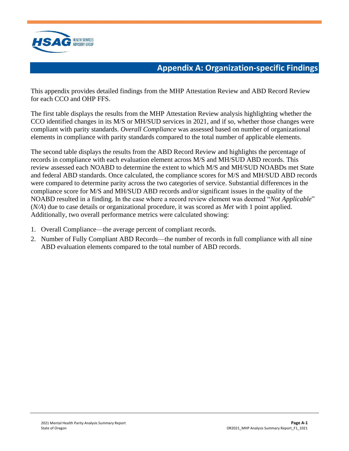

## **Appendix A: Organization-specific Findings**

<span id="page-18-0"></span>This appendix provides detailed findings from the MHP Attestation Review and ABD Record Review for each CCO and OHP FFS.

The first table displays the results from the MHP Attestation Review analysis highlighting whether the CCO identified changes in its M/S or MH/SUD services in 2021, and if so, whether those changes were compliant with parity standards. *Overall Compliance* was assessed based on number of organizational elements in compliance with parity standards compared to the total number of applicable elements.

The second table displays the results from the ABD Record Review and highlights the percentage of records in compliance with each evaluation element across M/S and MH/SUD ABD records. This review assessed each NOABD to determine the extent to which M/S and MH/SUD NOABDs met State and federal ABD standards. Once calculated, the compliance scores for M/S and MH/SUD ABD records were compared to determine parity across the two categories of service. Substantial differences in the compliance score for M/S and MH/SUD ABD records and/or significant issues in the quality of the NOABD resulted in a finding. In the case where a record review element was deemed "*Not Applicable*" (*N/A*) due to case details or organizational procedure, it was scored as *Met* with 1 point applied. Additionally, two overall performance metrics were calculated showing:

- 1. Overall Compliance—the average percent of compliant records.
- 2. Number of Fully Compliant ABD Records—the number of records in full compliance with all nine ABD evaluation elements compared to the total number of ABD records.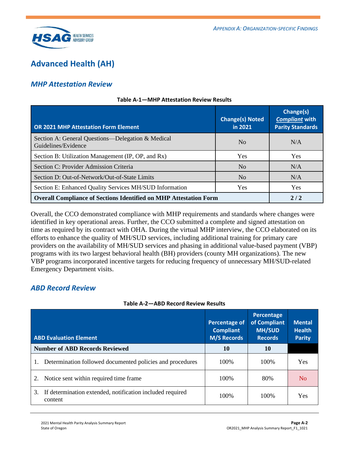

## <span id="page-19-0"></span>**Advanced Health (AH)**

### *MHP Attestation Review*

| <b>OR 2021 MHP Attestation Form Element</b>                              | <b>Change(s) Noted</b><br>in 2021 | Change(s)<br><b>Compliant with</b><br><b>Parity Standards</b> |
|--------------------------------------------------------------------------|-----------------------------------|---------------------------------------------------------------|
| Section A: General Questions—Delegation & Medical<br>Guidelines/Evidence | N <sub>0</sub>                    | N/A                                                           |
| Section B: Utilization Management (IP, OP, and Rx)                       | Yes                               | Yes                                                           |
| Section C: Provider Admission Criteria                                   | N <sub>0</sub>                    | N/A                                                           |
| Section D: Out-of-Network/Out-of-State Limits                            | N <sub>o</sub>                    | N/A                                                           |
| Section E: Enhanced Quality Services MH/SUD Information                  | Yes                               | Yes                                                           |
| <b>Overall Compliance of Sections Identified on MHP Attestation Form</b> | 2/2                               |                                                               |

#### **Table A-1—MHP Attestation Review Results**

Overall, the CCO demonstrated compliance with MHP requirements and standards where changes were identified in key operational areas. Further, the CCO submitted a complete and signed attestation on time as required by its contract with OHA. During the virtual MHP interview, the CCO elaborated on its efforts to enhance the quality of MH/SUD services, including additional training for primary care providers on the availability of MH/SUD services and phasing in additional value-based payment (VBP) programs with its two largest behavioral health (BH) providers (county MH organizations). The new VBP programs incorporated incentive targets for reducing frequency of unnecessary MH/SUD-related Emergency Department visits.

### *ABD Record Review*

| Table A-2—ABD Record Review Results |  |  |
|-------------------------------------|--|--|
|-------------------------------------|--|--|

| <b>ABD Evaluation Element</b>                                              | <b>Percentage of</b><br><b>Compliant</b><br><b>M/S Records</b> | Percentage<br>of Compliant<br><b>MH/SUD</b><br><b>Records</b> | <b>Mental</b><br><b>Health</b><br><b>Parity</b> |
|----------------------------------------------------------------------------|----------------------------------------------------------------|---------------------------------------------------------------|-------------------------------------------------|
| <b>Number of ABD Records Reviewed</b>                                      | 10                                                             | 10                                                            |                                                 |
| Determination followed documented policies and procedures                  | 100\%                                                          | 100\%                                                         | Yes                                             |
| Notice sent within required time frame<br>2.                               | 100\%                                                          | 80%                                                           | N <sub>0</sub>                                  |
| If determination extended, notification included required<br>3.<br>content | 100\%                                                          | 100\%                                                         | Yes                                             |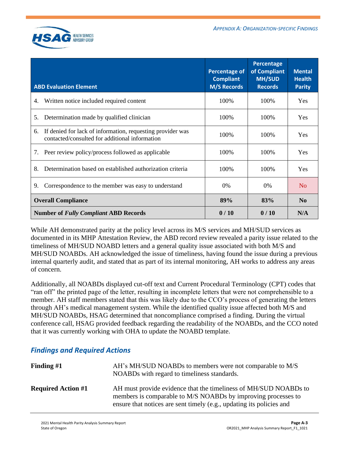

| <b>ABD Evaluation Element</b>                                                                                      | <b>Percentage of</b><br><b>Compliant</b><br><b>M/S Records</b> | Percentage<br>of Compliant<br><b>MH/SUD</b><br><b>Records</b> | <b>Mental</b><br><b>Health</b><br><b>Parity</b> |
|--------------------------------------------------------------------------------------------------------------------|----------------------------------------------------------------|---------------------------------------------------------------|-------------------------------------------------|
| Written notice included required content<br>4.                                                                     | 100%                                                           | 100%                                                          | Yes                                             |
| Determination made by qualified clinician<br>5.                                                                    | 100%                                                           | 100%                                                          | <b>Yes</b>                                      |
| If denied for lack of information, requesting provider was<br>6.<br>contacted/consulted for additional information | 100%                                                           | 100\%                                                         | <b>Yes</b>                                      |
| Peer review policy/process followed as applicable<br>7.                                                            | 100%                                                           | 100%                                                          | <b>Yes</b>                                      |
| Determination based on established authorization criteria<br>8.                                                    | 100%                                                           | 100%                                                          | Yes                                             |
| Correspondence to the member was easy to understand<br>9.                                                          | 0%                                                             | 0%                                                            | N <sub>o</sub>                                  |
| <b>Overall Compliance</b>                                                                                          | 89%                                                            | 83%                                                           | N <sub>0</sub>                                  |
| <b>Number of Fully Compliant ABD Records</b>                                                                       | 0/10                                                           | 0/10                                                          | N/A                                             |

While AH demonstrated parity at the policy level across its M/S services and MH/SUD services as documented in its MHP Attestation Review, the ABD record review revealed a parity issue related to the timeliness of MH/SUD NOABD letters and a general quality issue associated with both M/S and MH/SUD NOABDs. AH acknowledged the issue of timeliness, having found the issue during a previous internal quarterly audit, and stated that as part of its internal monitoring, AH works to address any areas of concern.

Additionally, all NOABDs displayed cut-off text and Current Procedural Terminology (CPT) codes that "ran off" the printed page of the letter, resulting in incomplete letters that were not comprehensible to a member. AH staff members stated that this was likely due to the CCO's process of generating the letters through AH's medical management system. While the identified quality issue affected both M/S and MH/SUD NOABDs, HSAG determined that noncompliance comprised a finding. During the virtual conference call, HSAG provided feedback regarding the readability of the NOABDs, and the CCO noted that it was currently working with OHA to update the NOABD template.

### *Findings and Required Actions*

| Finding $#1$              | AH's MH/SUD NOABDs to members were not comparable to M/S<br>NOABDs with regard to timeliness standards.                                                                                                   |
|---------------------------|-----------------------------------------------------------------------------------------------------------------------------------------------------------------------------------------------------------|
| <b>Required Action #1</b> | AH must provide evidence that the timeliness of MH/SUD NOABDs to<br>members is comparable to M/S NOABDs by improving processes to<br>ensure that notices are sent timely (e.g., updating its policies and |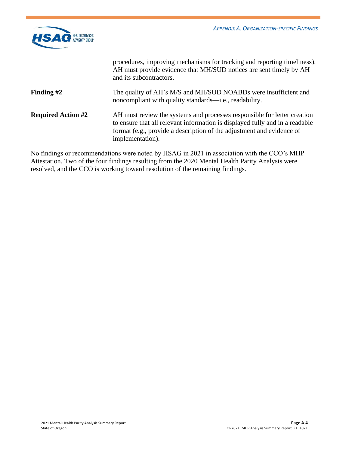

|                           | procedures, improving mechanisms for tracking and reporting timeliness).<br>AH must provide evidence that MH/SUD notices are sent timely by AH<br>and its subcontractors.                                                                             |
|---------------------------|-------------------------------------------------------------------------------------------------------------------------------------------------------------------------------------------------------------------------------------------------------|
| Finding $#2$              | The quality of AH's M/S and MH/SUD NOABDs were insufficient and<br>noncompliant with quality standards—i.e., readability.                                                                                                                             |
| <b>Required Action #2</b> | AH must review the systems and processes responsible for letter creation<br>to ensure that all relevant information is displayed fully and in a readable<br>format (e.g., provide a description of the adjustment and evidence of<br>implementation). |

No findings or recommendations were noted by HSAG in 2021 in association with the CCO's MHP Attestation. Two of the four findings resulting from the 2020 Mental Health Parity Analysis were resolved, and the CCO is working toward resolution of the remaining findings.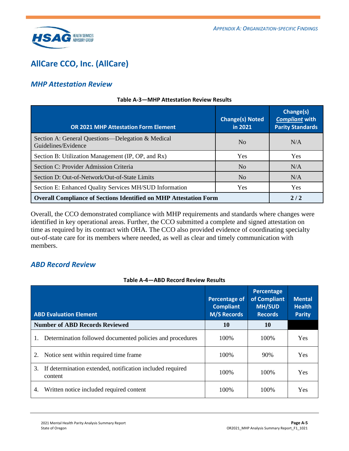

## <span id="page-22-0"></span>**AllCare CCO, Inc. (AllCare)**

### *MHP Attestation Review*

| <b>OR 2021 MHP Attestation Form Element</b>                              | <b>Change(s) Noted</b><br>in 2021 | Change(s)<br><b>Compliant with</b><br><b>Parity Standards</b> |
|--------------------------------------------------------------------------|-----------------------------------|---------------------------------------------------------------|
| Section A: General Questions—Delegation & Medical<br>Guidelines/Evidence | N <sub>0</sub>                    | N/A                                                           |
| Section B: Utilization Management (IP, OP, and Rx)                       | <b>Yes</b>                        | Yes                                                           |
| Section C: Provider Admission Criteria                                   | N <sub>0</sub>                    | N/A                                                           |
| Section D: Out-of-Network/Out-of-State Limits                            | N <sub>o</sub>                    | N/A                                                           |
| Section E: Enhanced Quality Services MH/SUD Information                  | <b>Yes</b>                        | <b>Yes</b>                                                    |
| <b>Overall Compliance of Sections Identified on MHP Attestation Form</b> | 2/2                               |                                                               |

#### **Table A-3—MHP Attestation Review Results**

Overall, the CCO demonstrated compliance with MHP requirements and standards where changes were identified in key operational areas. Further, the CCO submitted a complete and signed attestation on time as required by its contract with OHA. The CCO also provided evidence of coordinating specialty out-of-state care for its members where needed, as well as clear and timely communication with members.

### *ABD Record Review*

#### **Table A-4—ABD Record Review Results**

| <b>ABD Evaluation Element</b>                                              | Percentage of<br><b>Compliant</b><br><b>M/S Records</b> | Percentage<br>of Compliant<br><b>MH/SUD</b><br><b>Records</b> | <b>Mental</b><br><b>Health</b><br><b>Parity</b> |
|----------------------------------------------------------------------------|---------------------------------------------------------|---------------------------------------------------------------|-------------------------------------------------|
| <b>Number of ABD Records Reviewed</b>                                      | 10                                                      | 10                                                            |                                                 |
| Determination followed documented policies and procedures                  | 100\%                                                   | 100\%                                                         | <b>Yes</b>                                      |
| Notice sent within required time frame<br>2.                               | 100\%                                                   | 90%                                                           | Yes                                             |
| If determination extended, notification included required<br>3.<br>content | 100\%                                                   | 100\%                                                         | Yes                                             |
| Written notice included required content<br>4.                             | 100\%                                                   | 100\%                                                         | Yes                                             |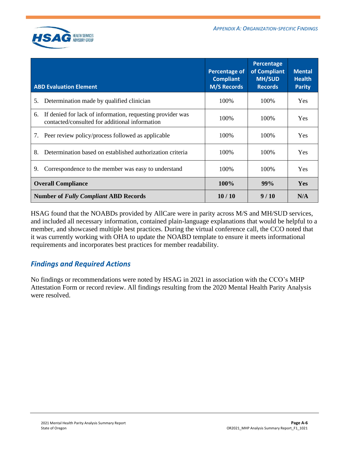

| <b>ABD Evaluation Element</b>                                                                                      | <b>Percentage of</b><br><b>Compliant</b><br><b>M/S Records</b> | Percentage<br>of Compliant<br><b>MH/SUD</b><br><b>Records</b> | <b>Mental</b><br><b>Health</b><br><b>Parity</b> |
|--------------------------------------------------------------------------------------------------------------------|----------------------------------------------------------------|---------------------------------------------------------------|-------------------------------------------------|
| Determination made by qualified clinician<br>5.                                                                    | 100\%                                                          | 100\%                                                         | <b>Yes</b>                                      |
| If denied for lack of information, requesting provider was<br>6.<br>contacted/consulted for additional information | 100\%                                                          | 100\%                                                         | <b>Yes</b>                                      |
| Peer review policy/process followed as applicable<br>7.                                                            | 100\%                                                          | 100\%                                                         | <b>Yes</b>                                      |
| Determination based on established authorization criteria<br>8.                                                    | 100\%                                                          | 100\%                                                         | <b>Yes</b>                                      |
| Correspondence to the member was easy to understand<br>9.                                                          | 100\%                                                          | 100%                                                          | <b>Yes</b>                                      |
| <b>Overall Compliance</b>                                                                                          | <b>100%</b>                                                    | 99%                                                           | <b>Yes</b>                                      |
| <b>Number of Fully Compliant ABD Records</b>                                                                       | 10/10                                                          | 9/10                                                          | N/A                                             |

HSAG found that the NOABDs provided by AllCare were in parity across M/S and MH/SUD services, and included all necessary information, contained plain-language explanations that would be helpful to a member, and showcased multiple best practices. During the virtual conference call, the CCO noted that it was currently working with OHA to update the NOABD template to ensure it meets informational requirements and incorporates best practices for member readability.

### *Findings and Required Actions*

No findings or recommendations were noted by HSAG in 2021 in association with the CCO's MHP Attestation Form or record review. All findings resulting from the 2020 Mental Health Parity Analysis were resolved.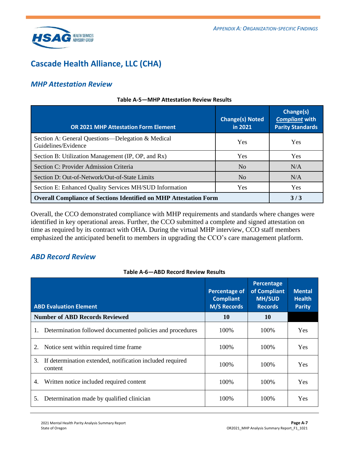

## <span id="page-24-0"></span>**Cascade Health Alliance, LLC (CHA)**

### *MHP Attestation Review*

| <b>OR 2021 MHP Attestation Form Element</b>                              | <b>Change(s) Noted</b><br>in 2021 | Change(s)<br><b>Compliant with</b><br><b>Parity Standards</b> |
|--------------------------------------------------------------------------|-----------------------------------|---------------------------------------------------------------|
| Section A: General Questions—Delegation & Medical<br>Guidelines/Evidence | Yes                               | Yes                                                           |
| Section B: Utilization Management (IP, OP, and Rx)                       | <b>Yes</b>                        | Yes                                                           |
| Section C: Provider Admission Criteria                                   | N <sub>0</sub>                    | N/A                                                           |
| Section D: Out-of-Network/Out-of-State Limits                            | N <sub>o</sub>                    | N/A                                                           |
| Section E: Enhanced Quality Services MH/SUD Information                  | Yes                               | Yes                                                           |
| <b>Overall Compliance of Sections Identified on MHP Attestation Form</b> | 3/3                               |                                                               |

#### **Table A-5—MHP Attestation Review Results**

Overall, the CCO demonstrated compliance with MHP requirements and standards where changes were identified in key operational areas. Further, the CCO submitted a complete and signed attestation on time as required by its contract with OHA. During the virtual MHP interview, CCO staff members emphasized the anticipated benefit to members in upgrading the CCO's care management platform.

### *ABD Record Review*

#### **Table A-6—ABD Record Review Results**

| <b>ABD Evaluation Element</b>                                              | <b>Percentage of</b><br><b>Compliant</b><br><b>M/S Records</b> | Percentage<br>of Compliant<br><b>MH/SUD</b><br><b>Records</b> | <b>Mental</b><br><b>Health</b><br><b>Parity</b> |
|----------------------------------------------------------------------------|----------------------------------------------------------------|---------------------------------------------------------------|-------------------------------------------------|
| <b>Number of ABD Records Reviewed</b>                                      | 10                                                             | <b>10</b>                                                     |                                                 |
| Determination followed documented policies and procedures<br>1.            | 100\%                                                          | 100\%                                                         | <b>Yes</b>                                      |
| Notice sent within required time frame<br>2.                               | 100\%                                                          | 100\%                                                         | <b>Yes</b>                                      |
| If determination extended, notification included required<br>3.<br>content | 100\%                                                          | 100\%                                                         | <b>Yes</b>                                      |
| 4.<br>Written notice included required content                             | 100\%                                                          | 100\%                                                         | <b>Yes</b>                                      |
| Determination made by qualified clinician<br>5.                            | 100\%                                                          | 100\%                                                         | <b>Yes</b>                                      |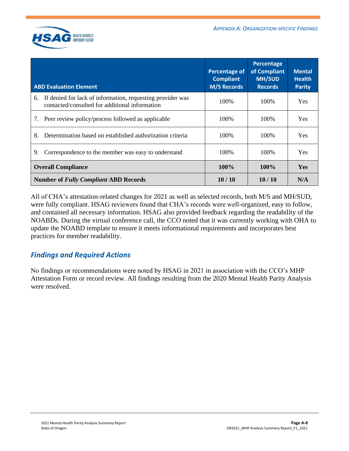

| <b>ABD Evaluation Element</b>                                                                                      | <b>Percentage of</b><br><b>Compliant</b><br><b>M/S Records</b> | Percentage<br>of Compliant<br><b>MH/SUD</b><br><b>Records</b> | <b>Mental</b><br><b>Health</b><br><b>Parity</b> |
|--------------------------------------------------------------------------------------------------------------------|----------------------------------------------------------------|---------------------------------------------------------------|-------------------------------------------------|
| If denied for lack of information, requesting provider was<br>6.<br>contacted/consulted for additional information | 100\%                                                          | 100%                                                          | <b>Yes</b>                                      |
| 7. Peer review policy/process followed as applicable                                                               | 100\%                                                          | 100\%                                                         | <b>Yes</b>                                      |
| 8.<br>Determination based on established authorization criteria                                                    | 100\%                                                          | 100\%                                                         | <b>Yes</b>                                      |
| Correspondence to the member was easy to understand<br>9.                                                          | 100\%                                                          | 100\%                                                         | <b>Yes</b>                                      |
| <b>Overall Compliance</b>                                                                                          | $100\%$                                                        | $100\%$                                                       | <b>Yes</b>                                      |
| <b>Number of Fully Compliant ABD Records</b>                                                                       | 10/10                                                          | 10/10                                                         | N/A                                             |

All of CHA's attestation-related changes for 2021 as well as selected records, both M/S and MH/SUD, were fully compliant. HSAG reviewers found that CHA's records were well-organized, easy to follow, and contained all necessary information. HSAG also provided feedback regarding the readability of the NOABDs. During the virtual conference call, the CCO noted that it was currently working with OHA to update the NOABD template to ensure it meets informational requirements and incorporates best practices for member readability.

### *Findings and Required Actions*

No findings or recommendations were noted by HSAG in 2021 in association with the CCO's MHP Attestation Form or record review. All findings resulting from the 2020 Mental Health Parity Analysis were resolved.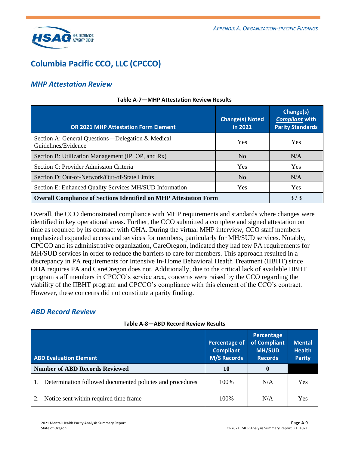

## <span id="page-26-0"></span>**Columbia Pacific CCO, LLC (CPCCO)**

### *MHP Attestation Review*

| <b>OR 2021 MHP Attestation Form Element</b>                              | <b>Change(s) Noted</b><br>in 2021 | Change(s)<br><b>Compliant with</b><br><b>Parity Standards</b> |
|--------------------------------------------------------------------------|-----------------------------------|---------------------------------------------------------------|
| Section A: General Questions—Delegation & Medical<br>Guidelines/Evidence | Yes                               | <b>Yes</b>                                                    |
| Section B: Utilization Management (IP, OP, and Rx)                       | N <sub>0</sub>                    | N/A                                                           |
| Section C: Provider Admission Criteria                                   | Yes                               | <b>Yes</b>                                                    |
| Section D: Out-of-Network/Out-of-State Limits                            | N <sub>0</sub>                    | N/A                                                           |
| Section E: Enhanced Quality Services MH/SUD Information                  | <b>Yes</b>                        | <b>Yes</b>                                                    |
| <b>Overall Compliance of Sections Identified on MHP Attestation Form</b> | 3/3                               |                                                               |

#### **Table A-7—MHP Attestation Review Results**

Overall, the CCO demonstrated compliance with MHP requirements and standards where changes were identified in key operational areas. Further, the CCO submitted a complete and signed attestation on time as required by its contract with OHA. During the virtual MHP interview, CCO staff members emphasized expanded access and services for members, particularly for MH/SUD services. Notably, CPCCO and its administrative organization, CareOregon, indicated they had few PA requirements for MH/SUD services in order to reduce the barriers to care for members. This approach resulted in a discrepancy in PA requirements for Intensive In-Home Behavioral Health Treatment (IIBHT) since OHA requires PA and CareOregon does not. Additionally, due to the critical lack of available IIBHT program staff members in CPCCO's service area, concerns were raised by the CCO regarding the viability of the IIBHT program and CPCCO's compliance with this element of the CCO's contract. However, these concerns did not constitute a parity finding.

### *ABD Record Review*

| Table A-8-ABD Record Review Results |  |  |  |  |  |  |
|-------------------------------------|--|--|--|--|--|--|
|-------------------------------------|--|--|--|--|--|--|

| <b>ABD Evaluation Element</b>                                   | <b>Percentage of</b><br><b>Compliant</b><br><b>M/S Records</b> | Percentage<br>of Compliant<br><b>MH/SUD</b><br><b>Records</b> | <b>Mental</b><br><b>Health</b><br><b>Parity</b> |
|-----------------------------------------------------------------|----------------------------------------------------------------|---------------------------------------------------------------|-------------------------------------------------|
| <b>Number of ABD Records Reviewed</b>                           | 10                                                             | $\mathbf 0$                                                   |                                                 |
| Determination followed documented policies and procedures<br>1. | 100\%                                                          | N/A                                                           | Yes                                             |
| Notice sent within required time frame                          | 100\%                                                          | N/A                                                           | Yes                                             |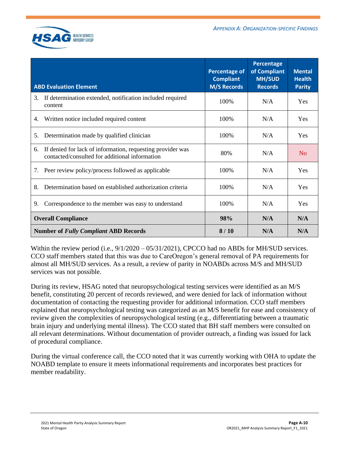

|    | <b>ABD Evaluation Element</b>                                                                                | Percentage of<br><b>Compliant</b><br><b>M/S Records</b> | Percentage<br>of Compliant<br><b>MH/SUD</b><br><b>Records</b> | <b>Mental</b><br><b>Health</b><br><b>Parity</b> |
|----|--------------------------------------------------------------------------------------------------------------|---------------------------------------------------------|---------------------------------------------------------------|-------------------------------------------------|
| 3. | If determination extended, notification included required<br>content                                         | 100%                                                    | N/A                                                           | Yes                                             |
| 4. | Written notice included required content                                                                     | 100%                                                    | N/A                                                           | Yes                                             |
| 5. | Determination made by qualified clinician                                                                    | 100%                                                    | N/A                                                           | Yes                                             |
| 6. | If denied for lack of information, requesting provider was<br>contacted/consulted for additional information | 80%                                                     | N/A                                                           | N <sub>0</sub>                                  |
| 7. | Peer review policy/process followed as applicable                                                            | 100\%                                                   | N/A                                                           | Yes                                             |
| 8. | Determination based on established authorization criteria                                                    | 100\%                                                   | N/A                                                           | Yes                                             |
| 9. | Correspondence to the member was easy to understand                                                          | 100%                                                    | N/A                                                           | Yes                                             |
|    | <b>Overall Compliance</b>                                                                                    | 98%                                                     | N/A                                                           | N/A                                             |
|    | <b>Number of Fully Compliant ABD Records</b>                                                                 | 8/10                                                    | N/A                                                           | N/A                                             |

Within the review period (i.e.,  $9/1/2020 - 05/31/2021$ ), CPCCO had no ABDs for MH/SUD services. CCO staff members stated that this was due to CareOregon's general removal of PA requirements for almost all MH/SUD services. As a result, a review of parity in NOABDs across M/S and MH/SUD services was not possible.

During its review, HSAG noted that neuropsychological testing services were identified as an M/S benefit, constituting 20 percent of records reviewed, and were denied for lack of information without documentation of contacting the requesting provider for additional information. CCO staff members explained that neuropsychological testing was categorized as an M/S benefit for ease and consistency of review given the complexities of neuropsychological testing (e.g., differentiating between a traumatic brain injury and underlying mental illness). The CCO stated that BH staff members were consulted on all relevant determinations. Without documentation of provider outreach, a finding was issued for lack of procedural compliance.

During the virtual conference call, the CCO noted that it was currently working with OHA to update the NOABD template to ensure it meets informational requirements and incorporates best practices for member readability.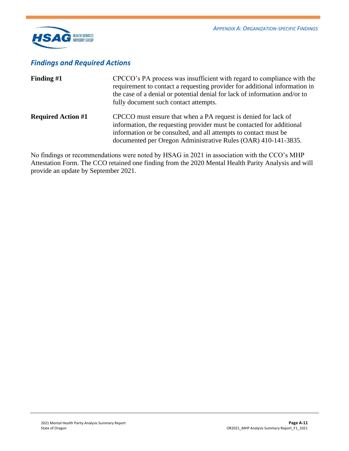

### *Findings and Required Actions*

| Finding $#1$              | CPCCO's PA process was insufficient with regard to compliance with the<br>requirement to contact a requesting provider for additional information in<br>the case of a denial or potential denial for lack of information and/or to<br>fully document such contact attempts.   |
|---------------------------|-------------------------------------------------------------------------------------------------------------------------------------------------------------------------------------------------------------------------------------------------------------------------------|
| <b>Required Action #1</b> | CPCCO must ensure that when a PA request is denied for lack of<br>information, the requesting provider must be contacted for additional<br>information or be consulted, and all attempts to contact must be<br>documented per Oregon Administrative Rules (OAR) 410-141-3835. |

No findings or recommendations were noted by HSAG in 2021 in association with the CCO's MHP Attestation Form. The CCO retained one finding from the 2020 Mental Health Parity Analysis and will provide an update by September 2021.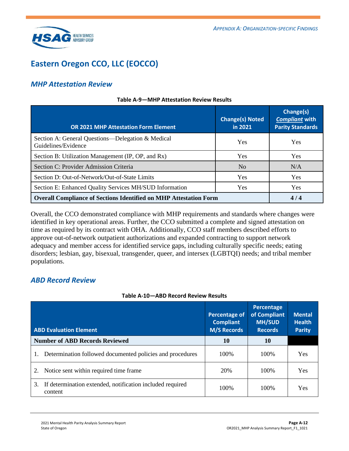

## <span id="page-29-0"></span>**Eastern Oregon CCO, LLC (EOCCO)**

### *MHP Attestation Review*

| <b>OR 2021 MHP Attestation Form Element</b>                              | <b>Change(s) Noted</b><br>in 2021 | Change(s)<br><b>Compliant with</b><br><b>Parity Standards</b> |
|--------------------------------------------------------------------------|-----------------------------------|---------------------------------------------------------------|
| Section A: General Questions—Delegation & Medical<br>Guidelines/Evidence | <b>Yes</b>                        | <b>Yes</b>                                                    |
| Section B: Utilization Management (IP, OP, and Rx)                       | <b>Yes</b>                        | Yes                                                           |
| Section C: Provider Admission Criteria                                   | N <sub>0</sub>                    | N/A                                                           |
| Section D: Out-of-Network/Out-of-State Limits                            | Yes                               | <b>Yes</b>                                                    |
| Section E: Enhanced Quality Services MH/SUD Information                  | Yes                               | Yes                                                           |
| <b>Overall Compliance of Sections Identified on MHP Attestation Form</b> | 4/4                               |                                                               |

#### **Table A-9—MHP Attestation Review Results**

Overall, the CCO demonstrated compliance with MHP requirements and standards where changes were identified in key operational areas. Further, the CCO submitted a complete and signed attestation on time as required by its contract with OHA. Additionally, CCO staff members described efforts to approve out-of-network outpatient authorizations and expanded contracting to support network adequacy and member access for identified service gaps, including culturally specific needs; eating disorders; lesbian, gay, bisexual, transgender, queer, and intersex (LGBTQI) needs; and tribal member populations.

### *ABD Record Review*

#### **Table A-10—ABD Record Review Results**

| <b>ABD Evaluation Element</b>                                              | Percentage of<br><b>Compliant</b><br><b>M/S Records</b> | Percentage<br>of Compliant<br><b>MH/SUD</b><br><b>Records</b> | <b>Mental</b><br><b>Health</b><br><b>Parity</b> |
|----------------------------------------------------------------------------|---------------------------------------------------------|---------------------------------------------------------------|-------------------------------------------------|
| <b>Number of ABD Records Reviewed</b>                                      | 10                                                      | 10                                                            |                                                 |
| Determination followed documented policies and procedures                  | 100\%                                                   | 100\%                                                         | <b>Yes</b>                                      |
| Notice sent within required time frame<br>2.                               | 20%                                                     | 100\%                                                         | <b>Yes</b>                                      |
| 3.<br>If determination extended, notification included required<br>content | 100\%                                                   | 100\%                                                         | Yes                                             |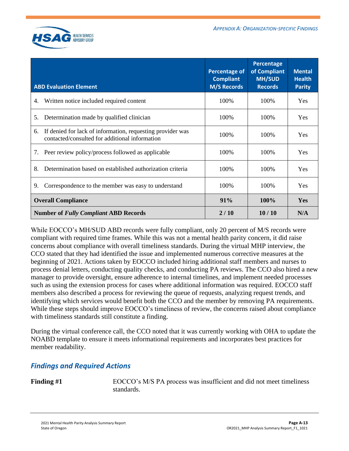

| <b>ABD Evaluation Element</b>                                                                                      | <b>Percentage of</b><br><b>Compliant</b><br><b>M/S Records</b> | Percentage<br>of Compliant<br><b>MH/SUD</b><br><b>Records</b> | <b>Mental</b><br><b>Health</b><br><b>Parity</b> |
|--------------------------------------------------------------------------------------------------------------------|----------------------------------------------------------------|---------------------------------------------------------------|-------------------------------------------------|
| Written notice included required content<br>4.                                                                     | 100%                                                           | 100%                                                          | <b>Yes</b>                                      |
| Determination made by qualified clinician<br>5.                                                                    | 100%                                                           | 100%                                                          | <b>Yes</b>                                      |
| If denied for lack of information, requesting provider was<br>6.<br>contacted/consulted for additional information | 100%                                                           | 100%                                                          | <b>Yes</b>                                      |
| Peer review policy/process followed as applicable<br>7.                                                            | 100\%                                                          | 100\%                                                         | <b>Yes</b>                                      |
| Determination based on established authorization criteria<br>8.                                                    | 100\%                                                          | 100\%                                                         | <b>Yes</b>                                      |
| Correspondence to the member was easy to understand<br>9.                                                          | 100%                                                           | 100%                                                          | <b>Yes</b>                                      |
| <b>Overall Compliance</b>                                                                                          | 91%                                                            | <b>100%</b>                                                   | Yes                                             |
| <b>Number of Fully Compliant ABD Records</b>                                                                       | 2/10                                                           | 10/10                                                         | N/A                                             |

While EOCCO's MH/SUD ABD records were fully compliant, only 20 percent of M/S records were compliant with required time frames. While this was not a mental health parity concern, it did raise concerns about compliance with overall timeliness standards. During the virtual MHP interview, the CCO stated that they had identified the issue and implemented numerous corrective measures at the beginning of 2021. Actions taken by EOCCO included hiring additional staff members and nurses to process denial letters, conducting quality checks, and conducting PA reviews. The CCO also hired a new manager to provide oversight, ensure adherence to internal timelines, and implement needed processes such as using the extension process for cases where additional information was required. EOCCO staff members also described a process for reviewing the queue of requests, analyzing request trends, and identifying which services would benefit both the CCO and the member by removing PA requirements. While these steps should improve EOCCO's timeliness of review, the concerns raised about compliance with timeliness standards still constitute a finding.

During the virtual conference call, the CCO noted that it was currently working with OHA to update the NOABD template to ensure it meets informational requirements and incorporates best practices for member readability.

### *Findings and Required Actions*

Finding #1 EOCCO's M/S PA process was insufficient and did not meet timeliness standards.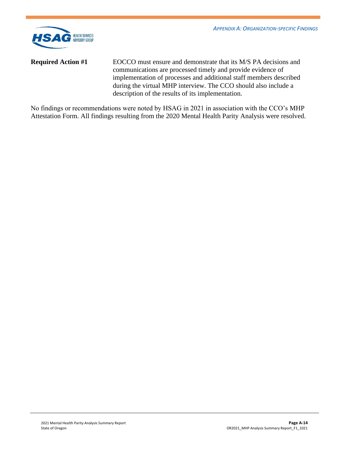

**Required Action #1** EOCCO must ensure and demonstrate that its M/S PA decisions and communications are processed timely and provide evidence of implementation of processes and additional staff members described during the virtual MHP interview. The CCO should also include a description of the results of its implementation.

No findings or recommendations were noted by HSAG in 2021 in association with the CCO's MHP Attestation Form. All findings resulting from the 2020 Mental Health Parity Analysis were resolved.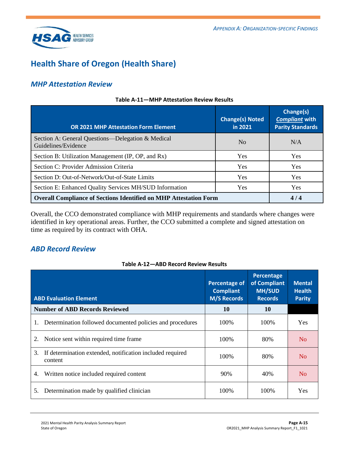

## <span id="page-32-0"></span>**Health Share of Oregon (Health Share)**

### *MHP Attestation Review*

| <b>OR 2021 MHP Attestation Form Element</b>                              | <b>Change(s) Noted</b><br>in 2021 | Change(s)<br><b>Compliant with</b><br><b>Parity Standards</b> |
|--------------------------------------------------------------------------|-----------------------------------|---------------------------------------------------------------|
| Section A: General Questions—Delegation & Medical<br>Guidelines/Evidence | N <sub>0</sub>                    | N/A                                                           |
| Section B: Utilization Management (IP, OP, and Rx)                       | <b>Yes</b>                        | <b>Yes</b>                                                    |
| Section C: Provider Admission Criteria                                   | Yes                               | <b>Yes</b>                                                    |
| Section D: Out-of-Network/Out-of-State Limits                            | Yes                               | <b>Yes</b>                                                    |
| Section E: Enhanced Quality Services MH/SUD Information                  | Yes                               | Yes                                                           |
| <b>Overall Compliance of Sections Identified on MHP Attestation Form</b> | 4/4                               |                                                               |

#### **Table A-11—MHP Attestation Review Results**

Overall, the CCO demonstrated compliance with MHP requirements and standards where changes were identified in key operational areas. Further, the CCO submitted a complete and signed attestation on time as required by its contract with OHA.

### *ABD Record Review*

#### **Table A-12—ABD Record Review Results**

| <b>ABD Evaluation Element</b>                                              | <b>Percentage of</b><br><b>Compliant</b><br><b>M/S Records</b> | Percentage<br>of Compliant<br><b>MH/SUD</b><br><b>Records</b> | <b>Mental</b><br><b>Health</b><br><b>Parity</b> |
|----------------------------------------------------------------------------|----------------------------------------------------------------|---------------------------------------------------------------|-------------------------------------------------|
| <b>Number of ABD Records Reviewed</b>                                      | 10                                                             | 10                                                            |                                                 |
| Determination followed documented policies and procedures<br>1.            | 100\%                                                          | 100\%                                                         | <b>Yes</b>                                      |
| Notice sent within required time frame.<br>2.                              | 100\%                                                          | 80%                                                           | No                                              |
| If determination extended, notification included required<br>3.<br>content | 100\%                                                          | 80%                                                           | No                                              |
| Written notice included required content<br>4.                             | 90%                                                            | 40%                                                           | No                                              |
| Determination made by qualified clinician<br>5.                            | 100\%                                                          | 100\%                                                         | Yes                                             |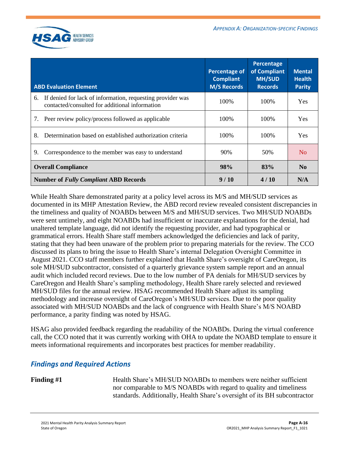

| <b>ABD Evaluation Element</b>                                                                                      | <b>Percentage of</b><br><b>Compliant</b><br><b>M/S Records</b> | Percentage<br>of Compliant<br><b>MH/SUD</b><br><b>Records</b> | <b>Mental</b><br><b>Health</b><br><b>Parity</b> |
|--------------------------------------------------------------------------------------------------------------------|----------------------------------------------------------------|---------------------------------------------------------------|-------------------------------------------------|
| If denied for lack of information, requesting provider was<br>6.<br>contacted/consulted for additional information | 100\%                                                          | 100\%                                                         | <b>Yes</b>                                      |
| 7. Peer review policy/process followed as applicable                                                               | 100%                                                           | 100\%                                                         | <b>Yes</b>                                      |
| 8.<br>Determination based on established authorization criteria                                                    | 100\%                                                          | 100\%                                                         | <b>Yes</b>                                      |
| 9.<br>Correspondence to the member was easy to understand                                                          | 90%                                                            | 50%                                                           | N <sub>0</sub>                                  |
| <b>Overall Compliance</b>                                                                                          | 98%                                                            | 83%                                                           | N <sub>0</sub>                                  |
| <b>Number of Fully Compliant ABD Records</b>                                                                       | 9/10                                                           | 4/10                                                          | N/A                                             |

While Health Share demonstrated parity at a policy level across its M/S and MH/SUD services as documented in its MHP Attestation Review, the ABD record review revealed consistent discrepancies in the timeliness and quality of NOABDs between M/S and MH/SUD services. Two MH/SUD NOABDs were sent untimely, and eight NOABDs had insufficient or inaccurate explanations for the denial, had unaltered template language, did not identify the requesting provider, and had typographical or grammatical errors. Health Share staff members acknowledged the deficiencies and lack of parity, stating that they had been unaware of the problem prior to preparing materials for the review. The CCO discussed its plans to bring the issue to Health Share's internal Delegation Oversight Committee in August 2021. CCO staff members further explained that Health Share's oversight of CareOregon, its sole MH/SUD subcontractor, consisted of a quarterly grievance system sample report and an annual audit which included record reviews. Due to the low number of PA denials for MH/SUD services by CareOregon and Health Share's sampling methodology, Health Share rarely selected and reviewed MH/SUD files for the annual review. HSAG recommended Health Share adjust its sampling methodology and increase oversight of CareOregon's MH/SUD services. Due to the poor quality associated with MH/SUD NOABDs and the lack of congruence with Health Share's M/S NOABD performance, a parity finding was noted by HSAG.

HSAG also provided feedback regarding the readability of the NOABDs. During the virtual conference call, the CCO noted that it was currently working with OHA to update the NOABD template to ensure it meets informational requirements and incorporates best practices for member readability.

### *Findings and Required Actions*

**Finding #1** Health Share's MH/SUD NOABDs to members were neither sufficient nor comparable to M/S NOABDs with regard to quality and timeliness standards. Additionally, Health Share's oversight of its BH subcontractor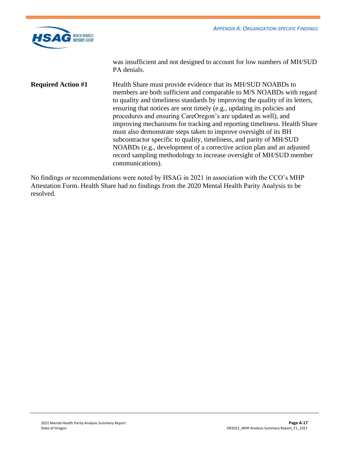

was insufficient and not designed to account for low numbers of MH/SUD PA denials.

**Required Action #1** Health Share must provide evidence that its MH/SUD NOABDs to members are both sufficient and comparable to M/S NOABDs with regard to quality and timeliness standards by improving the quality of its letters, ensuring that notices are sent timely (e.g., updating its policies and procedures and ensuring CareOregon's are updated as well), and improving mechanisms for tracking and reporting timeliness. Health Share must also demonstrate steps taken to improve oversight of its BH subcontractor specific to quality, timeliness, and parity of MH/SUD NOABDs (e.g., development of a corrective action plan and an adjusted record sampling methodology to increase oversight of MH/SUD member communications).

No findings or recommendations were noted by HSAG in 2021 in association with the CCO's MHP Attestation Form. Health Share had no findings from the 2020 Mental Health Parity Analysis to be resolved.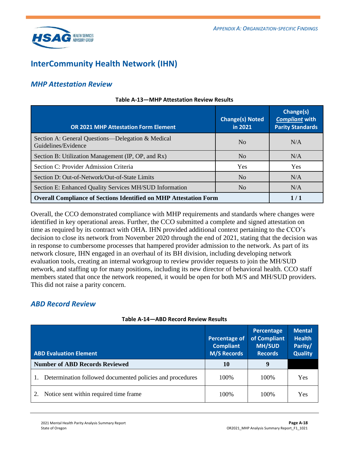

## <span id="page-35-0"></span>**InterCommunity Health Network (IHN)**

### *MHP Attestation Review*

| <b>OR 2021 MHP Attestation Form Element</b>                              | <b>Change(s) Noted</b><br>in 2021 | Change(s)<br><b>Compliant with</b><br><b>Parity Standards</b> |
|--------------------------------------------------------------------------|-----------------------------------|---------------------------------------------------------------|
| Section A: General Questions—Delegation & Medical<br>Guidelines/Evidence | N <sub>0</sub>                    | N/A                                                           |
| Section B: Utilization Management (IP, OP, and Rx)                       | N <sub>0</sub>                    | N/A                                                           |
| Section C: Provider Admission Criteria                                   | Yes                               | Yes                                                           |
| Section D: Out-of-Network/Out-of-State Limits                            | N <sub>o</sub>                    | N/A                                                           |
| Section E: Enhanced Quality Services MH/SUD Information                  | No                                | N/A                                                           |
| <b>Overall Compliance of Sections Identified on MHP Attestation Form</b> | 1/1                               |                                                               |

#### **Table A-13—MHP Attestation Review Results**

Overall, the CCO demonstrated compliance with MHP requirements and standards where changes were identified in key operational areas. Further, the CCO submitted a complete and signed attestation on time as required by its contract with OHA. IHN provided additional context pertaining to the CCO's decision to close its network from November 2020 through the end of 2021, stating that the decision was in response to cumbersome processes that hampered provider admission to the network. As part of its network closure, IHN engaged in an overhaul of its BH division, including developing network evaluation tools, creating an internal workgroup to review provider requests to join the MH/SUD network, and staffing up for many positions, including its new director of behavioral health. CCO staff members stated that once the network reopened, it would be open for both M/S and MH/SUD providers. This did not raise a parity concern.

### *ABD Record Review*

| <b>ABD Evaluation Element</b>                             | <b>Percentage of</b><br><b>Compliant</b><br><b>M/S Records</b> | Percentage<br>of Compliant<br><b>MH/SUD</b><br><b>Records</b> | <b>Mental</b><br><b>Health</b><br>Parity/<br><b>Quality</b> |
|-----------------------------------------------------------|----------------------------------------------------------------|---------------------------------------------------------------|-------------------------------------------------------------|
| <b>Number of ABD Records Reviewed</b>                     | 10                                                             | 9                                                             |                                                             |
| Determination followed documented policies and procedures | 100\%                                                          | 100\%                                                         | <b>Yes</b>                                                  |
| Notice sent within required time frame.                   | 100\%                                                          | 100\%                                                         | Yes                                                         |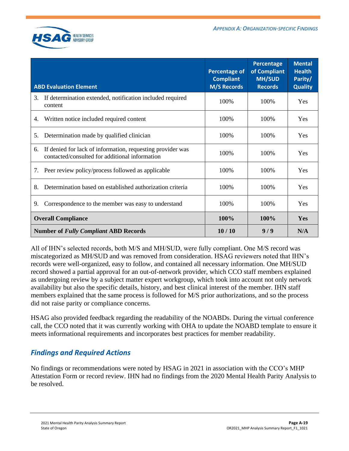

| <b>ABD Evaluation Element</b> |                                                                                                              | <b>Percentage of</b><br><b>Compliant</b><br><b>M/S Records</b> | <b>Percentage</b><br>of Compliant<br><b>MH/SUD</b><br><b>Records</b> | <b>Mental</b><br><b>Health</b><br>Parity/<br><b>Quality</b> |
|-------------------------------|--------------------------------------------------------------------------------------------------------------|----------------------------------------------------------------|----------------------------------------------------------------------|-------------------------------------------------------------|
| 3.                            | If determination extended, notification included required                                                    | 100%                                                           |                                                                      | Yes                                                         |
|                               | content                                                                                                      |                                                                | 100%                                                                 |                                                             |
| 4.                            | Written notice included required content                                                                     | 100%                                                           | 100%                                                                 | Yes                                                         |
| 5.                            | Determination made by qualified clinician                                                                    | 100%                                                           | 100%                                                                 | Yes                                                         |
| 6.                            | If denied for lack of information, requesting provider was<br>contacted/consulted for additional information | 100%                                                           | 100%                                                                 | <b>Yes</b>                                                  |
| 7.                            | Peer review policy/process followed as applicable                                                            | 100%                                                           | 100\%                                                                | <b>Yes</b>                                                  |
| 8.                            | Determination based on established authorization criteria                                                    | 100%                                                           | 100\%                                                                | <b>Yes</b>                                                  |
| 9.                            | Correspondence to the member was easy to understand                                                          | 100%                                                           | 100%                                                                 | Yes                                                         |
|                               | <b>Overall Compliance</b>                                                                                    | 100%                                                           | 100%                                                                 | Yes                                                         |
|                               | <b>Number of Fully Compliant ABD Records</b>                                                                 | 10/10                                                          | 9/9                                                                  | N/A                                                         |

All of IHN's selected records, both M/S and MH/SUD, were fully compliant. One M/S record was miscategorized as MH/SUD and was removed from consideration. HSAG reviewers noted that IHN's records were well-organized, easy to follow, and contained all necessary information. One MH/SUD record showed a partial approval for an out-of-network provider, which CCO staff members explained as undergoing review by a subject matter expert workgroup, which took into account not only network availability but also the specific details, history, and best clinical interest of the member. IHN staff members explained that the same process is followed for M/S prior authorizations, and so the process did not raise parity or compliance concerns.

HSAG also provided feedback regarding the readability of the NOABDs. During the virtual conference call, the CCO noted that it was currently working with OHA to update the NOABD template to ensure it meets informational requirements and incorporates best practices for member readability.

### *Findings and Required Actions*

No findings or recommendations were noted by HSAG in 2021 in association with the CCO's MHP Attestation Form or record review. IHN had no findings from the 2020 Mental Health Parity Analysis to be resolved.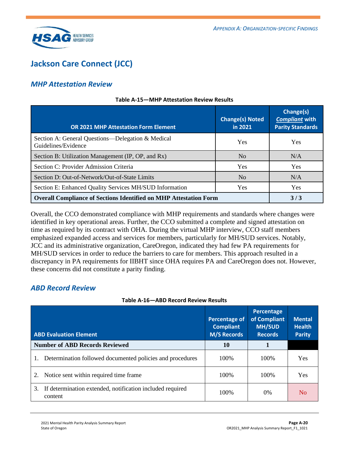

## <span id="page-37-0"></span>**Jackson Care Connect (JCC)**

### *MHP Attestation Review*

| <b>OR 2021 MHP Attestation Form Element</b>                              | <b>Change(s) Noted</b><br>in 2021 | Change(s)<br><b>Compliant with</b><br><b>Parity Standards</b> |
|--------------------------------------------------------------------------|-----------------------------------|---------------------------------------------------------------|
| Section A: General Questions—Delegation & Medical<br>Guidelines/Evidence | <b>Yes</b>                        | <b>Yes</b>                                                    |
| Section B: Utilization Management (IP, OP, and Rx)                       | No                                | N/A                                                           |
| Section C: Provider Admission Criteria                                   | Yes                               | <b>Yes</b>                                                    |
| Section D: Out-of-Network/Out-of-State Limits                            | N <sub>o</sub>                    | N/A                                                           |
| Section E: Enhanced Quality Services MH/SUD Information                  | Yes                               | Yes                                                           |
| <b>Overall Compliance of Sections Identified on MHP Attestation Form</b> | 3/3                               |                                                               |

#### **Table A-15—MHP Attestation Review Results**

Overall, the CCO demonstrated compliance with MHP requirements and standards where changes were identified in key operational areas. Further, the CCO submitted a complete and signed attestation on time as required by its contract with OHA. During the virtual MHP interview, CCO staff members emphasized expanded access and services for members, particularly for MH/SUD services. Notably, JCC and its administrative organization, CareOregon, indicated they had few PA requirements for MH/SUD services in order to reduce the barriers to care for members. This approach resulted in a discrepancy in PA requirements for IIBHT since OHA requires PA and CareOregon does not. However, these concerns did not constitute a parity finding.

### *ABD Record Review*

| Table A-16—ABD Record Review Results |  |  |  |
|--------------------------------------|--|--|--|
|--------------------------------------|--|--|--|

| <b>ABD Evaluation Element</b>                                              | <b>Percentage of</b><br><b>Compliant</b><br><b>M/S Records</b> | Percentage<br>of Compliant<br><b>MH/SUD</b><br><b>Records</b> | <b>Mental</b><br><b>Health</b><br><b>Parity</b> |
|----------------------------------------------------------------------------|----------------------------------------------------------------|---------------------------------------------------------------|-------------------------------------------------|
| <b>Number of ABD Records Reviewed</b>                                      | 10                                                             |                                                               |                                                 |
| Determination followed documented policies and procedures                  | 100\%                                                          | 100\%                                                         | Yes                                             |
| Notice sent within required time frame.                                    | 100\%                                                          | 100\%                                                         | Yes                                             |
| If determination extended, notification included required<br>3.<br>content | 100\%                                                          | $0\%$                                                         | N <sub>0</sub>                                  |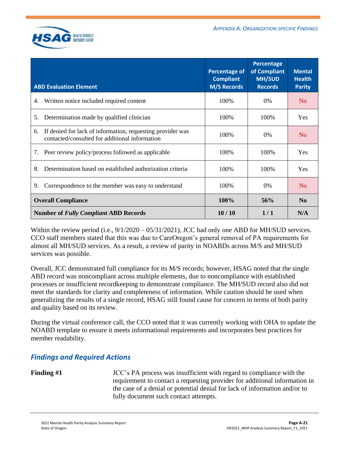

| <b>ABD Evaluation Element</b>                                                                                      | <b>Percentage of</b><br><b>Compliant</b><br><b>M/S Records</b> | Percentage<br>of Compliant<br><b>MH/SUD</b><br><b>Records</b> | <b>Mental</b><br><b>Health</b><br><b>Parity</b> |
|--------------------------------------------------------------------------------------------------------------------|----------------------------------------------------------------|---------------------------------------------------------------|-------------------------------------------------|
| Written notice included required content<br>4.                                                                     | 100%                                                           | $0\%$                                                         | N <sub>0</sub>                                  |
| Determination made by qualified clinician<br>5.                                                                    | 100%                                                           | 100%                                                          | <b>Yes</b>                                      |
| If denied for lack of information, requesting provider was<br>6.<br>contacted/consulted for additional information | 100%                                                           | 0%                                                            | N <sub>o</sub>                                  |
| Peer review policy/process followed as applicable<br>7.                                                            | 100%                                                           | 100%                                                          | <b>Yes</b>                                      |
| Determination based on established authorization criteria<br>8.                                                    | 100\%                                                          | 100\%                                                         | <b>Yes</b>                                      |
| 9.<br>Correspondence to the member was easy to understand                                                          | 100%                                                           | $0\%$                                                         | N <sub>0</sub>                                  |
| <b>Overall Compliance</b>                                                                                          | 100%                                                           | 56%                                                           | N <sub>0</sub>                                  |
| <b>Number of Fully Compliant ABD Records</b>                                                                       | 10/10                                                          | 1/1                                                           | N/A                                             |

Within the review period (i.e.,  $9/1/2020 - 05/31/2021$ ), JCC had only one ABD for MH/SUD services. CCO staff members stated that this was due to CareOregon's general removal of PA requirements for almost all MH/SUD services. As a result, a review of parity in NOABDs across M/S and MH/SUD services was possible.

Overall, JCC demonstrated full compliance for its M/S records; however, HSAG noted that the single ABD record was noncompliant across multiple elements, due to noncompliance with established processes or insufficient recordkeeping to demonstrate compliance. The MH/SUD record also did not meet the standards for clarity and completeness of information. While caution should be used when generalizing the results of a single record, HSAG still found cause for concern in terms of both parity and quality based on its review.

During the virtual conference call, the CCO noted that it was currently working with OHA to update the NOABD template to ensure it meets informational requirements and incorporates best practices for member readability.

### *Findings and Required Actions*

**Finding #1** JCC's PA process was insufficient with regard to compliance with the requirement to contact a requesting provider for additional information in the case of a denial or potential denial for lack of information and/or to fully document such contact attempts.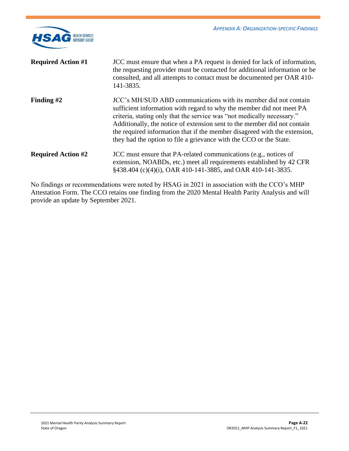

| <b>Required Action #1</b> | JCC must ensure that when a PA request is denied for lack of information,<br>the requesting provider must be contacted for additional information or be<br>consulted, and all attempts to contact must be documented per OAR 410-<br>141-3835.                                                                                                                                                                                                   |
|---------------------------|--------------------------------------------------------------------------------------------------------------------------------------------------------------------------------------------------------------------------------------------------------------------------------------------------------------------------------------------------------------------------------------------------------------------------------------------------|
| Finding $#2$              | JCC's MH/SUD ABD communications with its member did not contain<br>sufficient information with regard to why the member did not meet PA<br>criteria, stating only that the service was "not medically necessary."<br>Additionally, the notice of extension sent to the member did not contain<br>the required information that if the member disagreed with the extension,<br>they had the option to file a grievance with the CCO or the State. |
| <b>Required Action #2</b> | JCC must ensure that PA-related communications (e.g., notices of<br>extension, NOABDs, etc.) meet all requirements established by 42 CFR<br>§438.404 (c)(4)(i), OAR 410-141-3885, and OAR 410-141-3835.                                                                                                                                                                                                                                          |
|                           |                                                                                                                                                                                                                                                                                                                                                                                                                                                  |

No findings or recommendations were noted by HSAG in 2021 in association with the CCO's MHP Attestation Form. The CCO retains one finding from the 2020 Mental Health Parity Analysis and will provide an update by September 2021.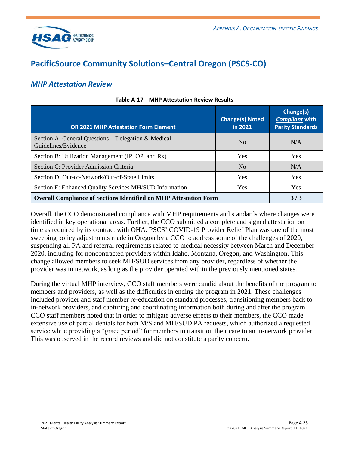

## <span id="page-40-0"></span>**PacificSource Community Solutions–Central Oregon (PSCS-CO)**

### *MHP Attestation Review*

| <b>OR 2021 MHP Attestation Form Element</b>                              | <b>Change(s) Noted</b><br>in 2021 | Change(s)<br><b>Compliant with</b><br><b>Parity Standards</b> |
|--------------------------------------------------------------------------|-----------------------------------|---------------------------------------------------------------|
| Section A: General Questions—Delegation & Medical<br>Guidelines/Evidence | N <sub>0</sub>                    | N/A                                                           |
| Section B: Utilization Management (IP, OP, and Rx)                       | Yes                               | <b>Yes</b>                                                    |
| Section C: Provider Admission Criteria                                   | N <sub>0</sub>                    | N/A                                                           |
| Section D: Out-of-Network/Out-of-State Limits                            | Yes                               | Yes                                                           |
| Section E: Enhanced Quality Services MH/SUD Information                  | <b>Yes</b>                        | <b>Yes</b>                                                    |
| <b>Overall Compliance of Sections Identified on MHP Attestation Form</b> | 3/3                               |                                                               |

#### **Table A-17—MHP Attestation Review Results**

Overall, the CCO demonstrated compliance with MHP requirements and standards where changes were identified in key operational areas. Further, the CCO submitted a complete and signed attestation on time as required by its contract with OHA. PSCS' COVID-19 Provider Relief Plan was one of the most sweeping policy adjustments made in Oregon by a CCO to address some of the challenges of 2020, suspending all PA and referral requirements related to medical necessity between March and December 2020, including for noncontracted providers within Idaho, Montana, Oregon, and Washington. This change allowed members to seek MH/SUD services from any provider, regardless of whether the provider was in network, as long as the provider operated within the previously mentioned states.

During the virtual MHP interview, CCO staff members were candid about the benefits of the program to members and providers, as well as the difficulties in ending the program in 2021. These challenges included provider and staff member re-education on standard processes, transitioning members back to in-network providers, and capturing and coordinating information both during and after the program. CCO staff members noted that in order to mitigate adverse effects to their members, the CCO made extensive use of partial denials for both M/S and MH/SUD PA requests, which authorized a requested service while providing a "grace period" for members to transition their care to an in-network provider. This was observed in the record reviews and did not constitute a parity concern.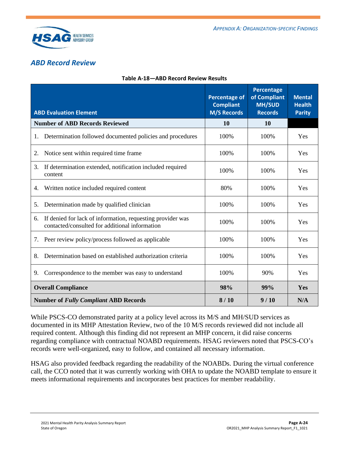

### *ABD Record Review*

| <b>ABD Evaluation Element</b>                                                                                      | <b>Percentage of</b><br><b>Compliant</b><br><b>M/S Records</b> | <b>Percentage</b><br>of Compliant<br><b>MH/SUD</b><br><b>Records</b> | <b>Mental</b><br><b>Health</b><br><b>Parity</b> |
|--------------------------------------------------------------------------------------------------------------------|----------------------------------------------------------------|----------------------------------------------------------------------|-------------------------------------------------|
| <b>Number of ABD Records Reviewed</b>                                                                              | 10                                                             | <b>10</b>                                                            |                                                 |
| Determination followed documented policies and procedures<br>1.                                                    | 100%                                                           | 100%                                                                 | Yes                                             |
| Notice sent within required time frame<br>2.                                                                       | 100%                                                           | 100%                                                                 | Yes                                             |
| 3.<br>If determination extended, notification included required<br>content                                         | 100%                                                           | 100%                                                                 | Yes                                             |
| Written notice included required content<br>4.                                                                     | 80%                                                            | 100%                                                                 | Yes                                             |
| Determination made by qualified clinician<br>5.                                                                    | 100%                                                           | 100%                                                                 | Yes                                             |
| If denied for lack of information, requesting provider was<br>6.<br>contacted/consulted for additional information | 100%                                                           | 100%                                                                 | Yes                                             |
| Peer review policy/process followed as applicable<br>7.                                                            | 100%                                                           | 100%                                                                 | Yes                                             |
| Determination based on established authorization criteria<br>8.                                                    | 100%                                                           | 100%                                                                 | Yes                                             |
| Correspondence to the member was easy to understand<br>9.                                                          | 100%                                                           | 90%                                                                  | Yes                                             |
| <b>Overall Compliance</b>                                                                                          | 98%                                                            | 99%                                                                  | Yes                                             |
| <b>Number of Fully Compliant ABD Records</b>                                                                       | 8/10                                                           | 9/10                                                                 | N/A                                             |

#### **Table A-18—ABD Record Review Results**

While PSCS-CO demonstrated parity at a policy level across its M/S and MH/SUD services as documented in its MHP Attestation Review, two of the 10 M/S records reviewed did not include all required content. Although this finding did not represent an MHP concern, it did raise concerns regarding compliance with contractual NOABD requirements. HSAG reviewers noted that PSCS-CO's records were well-organized, easy to follow, and contained all necessary information.

HSAG also provided feedback regarding the readability of the NOABDs. During the virtual conference call, the CCO noted that it was currently working with OHA to update the NOABD template to ensure it meets informational requirements and incorporates best practices for member readability.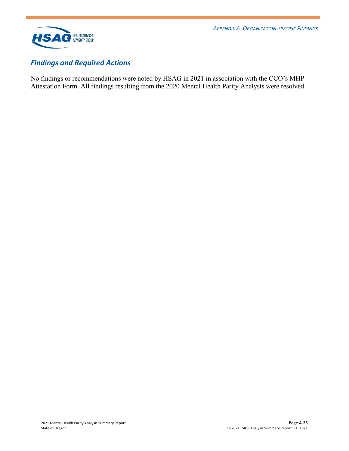

### *Findings and Required Actions*

No findings or recommendations were noted by HSAG in 2021 in association with the CCO's MHP Attestation Form. All findings resulting from the 2020 Mental Health Parity Analysis were resolved.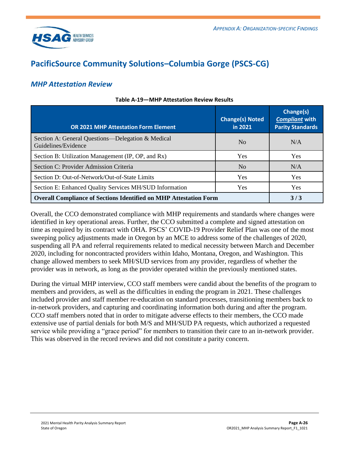

## <span id="page-43-0"></span>**PacificSource Community Solutions–Columbia Gorge (PSCS-CG)**

### *MHP Attestation Review*

| <b>OR 2021 MHP Attestation Form Element</b>                              | <b>Change(s) Noted</b><br>in 2021 | Change(s)<br><b>Compliant with</b><br><b>Parity Standards</b> |
|--------------------------------------------------------------------------|-----------------------------------|---------------------------------------------------------------|
| Section A: General Questions—Delegation & Medical<br>Guidelines/Evidence | N <sub>0</sub>                    | N/A                                                           |
| Section B: Utilization Management (IP, OP, and Rx)                       | Yes                               | Yes                                                           |
| Section C: Provider Admission Criteria                                   | N <sub>0</sub>                    | N/A                                                           |
| Section D: Out-of-Network/Out-of-State Limits                            | Yes                               | <b>Yes</b>                                                    |
| Section E: Enhanced Quality Services MH/SUD Information                  | <b>Yes</b>                        | <b>Yes</b>                                                    |
| <b>Overall Compliance of Sections Identified on MHP Attestation Form</b> | 3/3                               |                                                               |

#### **Table A-19—MHP Attestation Review Results**

Overall, the CCO demonstrated compliance with MHP requirements and standards where changes were identified in key operational areas. Further, the CCO submitted a complete and signed attestation on time as required by its contract with OHA. PSCS' COVID-19 Provider Relief Plan was one of the most sweeping policy adjustments made in Oregon by an MCE to address some of the challenges of 2020, suspending all PA and referral requirements related to medical necessity between March and December 2020, including for noncontracted providers within Idaho, Montana, Oregon, and Washington. This change allowed members to seek MH/SUD services from any provider, regardless of whether the provider was in network, as long as the provider operated within the previously mentioned states.

During the virtual MHP interview, CCO staff members were candid about the benefits of the program to members and providers, as well as the difficulties in ending the program in 2021. These challenges included provider and staff member re-education on standard processes, transitioning members back to in-network providers, and capturing and coordinating information both during and after the program. CCO staff members noted that in order to mitigate adverse effects to their members, the CCO made extensive use of partial denials for both M/S and MH/SUD PA requests, which authorized a requested service while providing a "grace period" for members to transition their care to an in-network provider. This was observed in the record reviews and did not constitute a parity concern.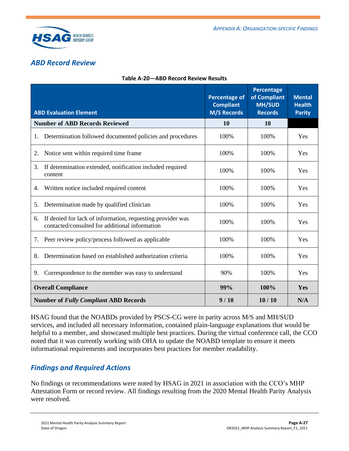

### *ABD Record Review*

| <b>ABD Evaluation Element</b>                                                                                      | <b>Percentage of</b><br><b>Compliant</b><br><b>M/S Records</b> | <b>Percentage</b><br>of Compliant<br><b>MH/SUD</b><br><b>Records</b> | <b>Mental</b><br><b>Health</b><br><b>Parity</b> |
|--------------------------------------------------------------------------------------------------------------------|----------------------------------------------------------------|----------------------------------------------------------------------|-------------------------------------------------|
| <b>Number of ABD Records Reviewed</b>                                                                              | 10                                                             | <b>10</b>                                                            |                                                 |
| Determination followed documented policies and procedures<br>1.                                                    | 100%                                                           | 100%                                                                 | Yes                                             |
| Notice sent within required time frame<br>2.                                                                       | 100%                                                           | 100%                                                                 | Yes                                             |
| 3.<br>If determination extended, notification included required<br>content                                         | 100%                                                           | 100%                                                                 | Yes                                             |
| Written notice included required content<br>4.                                                                     | 100%                                                           | 100%                                                                 | Yes                                             |
| Determination made by qualified clinician<br>5.                                                                    | 100%                                                           | 100%                                                                 | Yes                                             |
| If denied for lack of information, requesting provider was<br>6.<br>contacted/consulted for additional information | 100%                                                           | 100%                                                                 | Yes                                             |
| Peer review policy/process followed as applicable<br>7.                                                            | 100%                                                           | 100%                                                                 | Yes                                             |
| Determination based on established authorization criteria<br>8.                                                    | 100%                                                           | 100%                                                                 | Yes                                             |
| Correspondence to the member was easy to understand<br>9.                                                          | 90%                                                            | 100%                                                                 | Yes                                             |
| <b>Overall Compliance</b>                                                                                          | 99%                                                            | 100%                                                                 | Yes                                             |
| <b>Number of Fully Compliant ABD Records</b>                                                                       | 9/10                                                           | 10/10                                                                | N/A                                             |

#### **Table A-20—ABD Record Review Results**

HSAG found that the NOABDs provided by PSCS-CG were in parity across M/S and MH/SUD services, and included all necessary information, contained plain-language explanations that would be helpful to a member, and showcased multiple best practices. During the virtual conference call, the CCO noted that it was currently working with OHA to update the NOABD template to ensure it meets informational requirements and incorporates best practices for member readability.

### *Findings and Required Actions*

No findings or recommendations were noted by HSAG in 2021 in association with the CCO's MHP Attestation Form or record review. All findings resulting from the 2020 Mental Health Parity Analysis were resolved.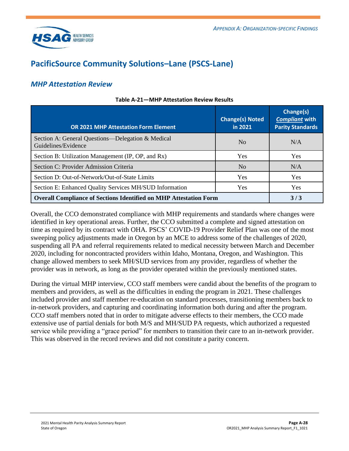

## <span id="page-45-0"></span>**PacificSource Community Solutions–Lane (PSCS-Lane)**

### *MHP Attestation Review*

| <b>OR 2021 MHP Attestation Form Element</b>                              | <b>Change(s) Noted</b><br>in 2021 | Change(s)<br><b>Compliant with</b><br><b>Parity Standards</b> |
|--------------------------------------------------------------------------|-----------------------------------|---------------------------------------------------------------|
| Section A: General Questions—Delegation & Medical<br>Guidelines/Evidence | N <sub>0</sub>                    | N/A                                                           |
| Section B: Utilization Management (IP, OP, and Rx)                       | <b>Yes</b>                        | Yes                                                           |
| Section C: Provider Admission Criteria                                   | N <sub>0</sub>                    | N/A                                                           |
| Section D: Out-of-Network/Out-of-State Limits                            | <b>Yes</b>                        | <b>Yes</b>                                                    |
| Section E: Enhanced Quality Services MH/SUD Information                  | Yes                               | <b>Yes</b>                                                    |
| <b>Overall Compliance of Sections Identified on MHP Attestation Form</b> | 3/3                               |                                                               |

#### **Table A-21—MHP Attestation Review Results**

Overall, the CCO demonstrated compliance with MHP requirements and standards where changes were identified in key operational areas. Further, the CCO submitted a complete and signed attestation on time as required by its contract with OHA. PSCS' COVID-19 Provider Relief Plan was one of the most sweeping policy adjustments made in Oregon by an MCE to address some of the challenges of 2020, suspending all PA and referral requirements related to medical necessity between March and December 2020, including for noncontracted providers within Idaho, Montana, Oregon, and Washington. This change allowed members to seek MH/SUD services from any provider, regardless of whether the provider was in network, as long as the provider operated within the previously mentioned states.

During the virtual MHP interview, CCO staff members were candid about the benefits of the program to members and providers, as well as the difficulties in ending the program in 2021. These challenges included provider and staff member re-education on standard processes, transitioning members back to in-network providers, and capturing and coordinating information both during and after the program. CCO staff members noted that in order to mitigate adverse effects to their members, the CCO made extensive use of partial denials for both M/S and MH/SUD PA requests, which authorized a requested service while providing a "grace period" for members to transition their care to an in-network provider. This was observed in the record reviews and did not constitute a parity concern.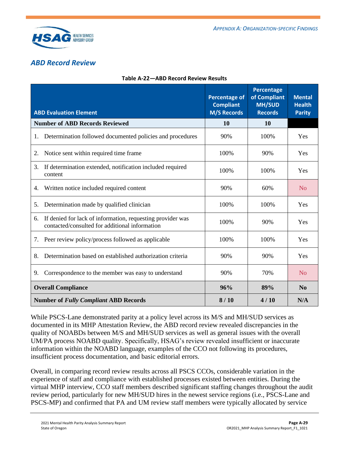

### *ABD Record Review*

| <b>ABD Evaluation Element</b>                                                                                      | <b>Percentage of</b><br><b>Compliant</b><br><b>M/S Records</b> | Percentage<br>of Compliant<br><b>MH/SUD</b><br><b>Records</b> | <b>Mental</b><br><b>Health</b><br><b>Parity</b> |
|--------------------------------------------------------------------------------------------------------------------|----------------------------------------------------------------|---------------------------------------------------------------|-------------------------------------------------|
| <b>Number of ABD Records Reviewed</b>                                                                              | 10                                                             | 10                                                            |                                                 |
| Determination followed documented policies and procedures<br>1.                                                    | 90%                                                            | 100%                                                          | Yes                                             |
| Notice sent within required time frame<br>2.                                                                       | 100%                                                           | 90%                                                           | Yes                                             |
| 3.<br>If determination extended, notification included required<br>content                                         | 100%                                                           | 100%                                                          | Yes                                             |
| Written notice included required content<br>4.                                                                     | 90%                                                            | 60%                                                           | No                                              |
| Determination made by qualified clinician<br>5.                                                                    | 100%                                                           | 100%                                                          | Yes                                             |
| If denied for lack of information, requesting provider was<br>6.<br>contacted/consulted for additional information | 100%                                                           | 90%                                                           | Yes                                             |
| Peer review policy/process followed as applicable<br>7.                                                            | 100%                                                           | 100%                                                          | Yes                                             |
| Determination based on established authorization criteria<br>8.                                                    | 90%                                                            | 90%                                                           | Yes                                             |
| Correspondence to the member was easy to understand<br>9.                                                          | 90%                                                            | 70%                                                           | No                                              |
| <b>Overall Compliance</b>                                                                                          | 96%                                                            | 89%                                                           | N <sub>0</sub>                                  |
| <b>Number of Fully Compliant ABD Records</b>                                                                       | 8/10                                                           | 4/10                                                          | N/A                                             |

While PSCS-Lane demonstrated parity at a policy level across its M/S and MH/SUD services as documented in its MHP Attestation Review, the ABD record review revealed discrepancies in the quality of NOABDs between M/S and MH/SUD services as well as general issues with the overall UM/PA process NOABD quality. Specifically, HSAG's review revealed insufficient or inaccurate information within the NOABD language, examples of the CCO not following its procedures, insufficient process documentation, and basic editorial errors.

Overall, in comparing record review results across all PSCS CCOs, considerable variation in the experience of staff and compliance with established processes existed between entities. During the virtual MHP interview, CCO staff members described significant staffing changes throughout the audit review period, particularly for new MH/SUD hires in the newest service regions (i.e., PSCS-Lane and PSCS-MP) and confirmed that PA and UM review staff members were typically allocated by service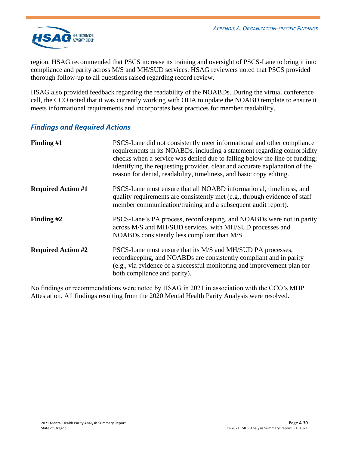

region. HSAG recommended that PSCS increase its training and oversight of PSCS-Lane to bring it into compliance and parity across M/S and MH/SUD services. HSAG reviewers noted that PSCS provided thorough follow-up to all questions raised regarding record review.

HSAG also provided feedback regarding the readability of the NOABDs. During the virtual conference call, the CCO noted that it was currently working with OHA to update the NOABD template to ensure it meets informational requirements and incorporates best practices for member readability.

### *Findings and Required Actions*

| Finding #1                | PSCS-Lane did not consistently meet informational and other compliance<br>requirements in its NOABDs, including a statement regarding comorbidity<br>checks when a service was denied due to falling below the line of funding;<br>identifying the requesting provider, clear and accurate explanation of the<br>reason for denial, readability, timeliness, and basic copy editing. |
|---------------------------|--------------------------------------------------------------------------------------------------------------------------------------------------------------------------------------------------------------------------------------------------------------------------------------------------------------------------------------------------------------------------------------|
| <b>Required Action #1</b> | PSCS-Lane must ensure that all NOABD informational, timeliness, and<br>quality requirements are consistently met (e.g., through evidence of staff<br>member communication/training and a subsequent audit report).                                                                                                                                                                   |
| Finding $#2$              | PSCS-Lane's PA process, recordkeeping, and NOABDs were not in parity<br>across M/S and MH/SUD services, with MH/SUD processes and<br>NOABDs consistently less compliant than M/S.                                                                                                                                                                                                    |
| <b>Required Action #2</b> | PSCS-Lane must ensure that its M/S and MH/SUD PA processes,<br>record keeping, and NOABDs are consistently compliant and in parity<br>(e.g., via evidence of a successful monitoring and improvement plan for<br>both compliance and parity).                                                                                                                                        |

No findings or recommendations were noted by HSAG in 2021 in association with the CCO's MHP Attestation. All findings resulting from the 2020 Mental Health Parity Analysis were resolved.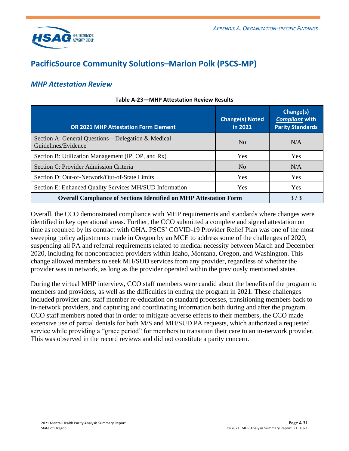

## <span id="page-48-0"></span>**PacificSource Community Solutions–Marion Polk (PSCS-MP)**

### *MHP Attestation Review*

| <b>OR 2021 MHP Attestation Form Element</b>                              | <b>Change(s) Noted</b><br>in 2021 | Change(s)<br><b>Compliant with</b><br><b>Parity Standards</b> |
|--------------------------------------------------------------------------|-----------------------------------|---------------------------------------------------------------|
| Section A: General Questions—Delegation & Medical<br>Guidelines/Evidence | N <sub>0</sub>                    | N/A                                                           |
| Section B: Utilization Management (IP, OP, and Rx)                       | <b>Yes</b>                        | Yes                                                           |
| Section C: Provider Admission Criteria                                   | N <sub>0</sub>                    | N/A                                                           |
| Section D: Out-of-Network/Out-of-State Limits                            | <b>Yes</b>                        | <b>Yes</b>                                                    |
| Section E: Enhanced Quality Services MH/SUD Information                  | Yes                               | <b>Yes</b>                                                    |
| <b>Overall Compliance of Sections Identified on MHP Attestation Form</b> | 3/3                               |                                                               |

#### **Table A-23—MHP Attestation Review Results**

Overall, the CCO demonstrated compliance with MHP requirements and standards where changes were identified in key operational areas. Further, the CCO submitted a complete and signed attestation on time as required by its contract with OHA. PSCS' COVID-19 Provider Relief Plan was one of the most sweeping policy adjustments made in Oregon by an MCE to address some of the challenges of 2020, suspending all PA and referral requirements related to medical necessity between March and December 2020, including for noncontracted providers within Idaho, Montana, Oregon, and Washington. This change allowed members to seek MH/SUD services from any provider, regardless of whether the provider was in network, as long as the provider operated within the previously mentioned states.

During the virtual MHP interview, CCO staff members were candid about the benefits of the program to members and providers, as well as the difficulties in ending the program in 2021. These challenges included provider and staff member re-education on standard processes, transitioning members back to in-network providers, and capturing and coordinating information both during and after the program. CCO staff members noted that in order to mitigate adverse effects to their members, the CCO made extensive use of partial denials for both M/S and MH/SUD PA requests, which authorized a requested service while providing a "grace period" for members to transition their care to an in-network provider. This was observed in the record reviews and did not constitute a parity concern.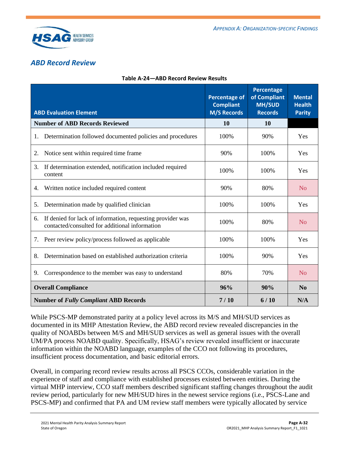

### *ABD Record Review*

|                                                                                                                    | <b>Percentage of</b><br><b>Compliant</b> | Percentage<br>of Compliant<br><b>MH/SUD</b> | <b>Mental</b><br><b>Health</b> |
|--------------------------------------------------------------------------------------------------------------------|------------------------------------------|---------------------------------------------|--------------------------------|
| <b>ABD Evaluation Element</b>                                                                                      | <b>M/S Records</b>                       | <b>Records</b>                              | <b>Parity</b>                  |
| <b>Number of ABD Records Reviewed</b>                                                                              | 10                                       | <b>10</b>                                   |                                |
| Determination followed documented policies and procedures<br>1.                                                    | 100%                                     | 90%                                         | Yes                            |
| Notice sent within required time frame<br>2.                                                                       | 90%                                      | 100%                                        | Yes                            |
| 3.<br>If determination extended, notification included required<br>content                                         | 100%                                     | 100%                                        | Yes                            |
| Written notice included required content<br>4.                                                                     | 90%                                      | 80%                                         | N <sub>0</sub>                 |
| Determination made by qualified clinician<br>5.                                                                    | 100%                                     | 100%                                        | Yes                            |
| If denied for lack of information, requesting provider was<br>6.<br>contacted/consulted for additional information | 100%                                     | 80%                                         | No                             |
| Peer review policy/process followed as applicable<br>7.                                                            | 100%                                     | 100%                                        | Yes                            |
| Determination based on established authorization criteria<br>8.                                                    | 100%                                     | 90%                                         | Yes                            |
| Correspondence to the member was easy to understand<br>9.                                                          | 80%                                      | 70%                                         | N <sub>0</sub>                 |
| <b>Overall Compliance</b>                                                                                          | 96%                                      | 90%                                         | N <sub>0</sub>                 |
| <b>Number of Fully Compliant ABD Records</b>                                                                       | 7/10                                     | 6/10                                        | N/A                            |

### **Table A-24—ABD Record Review Results**

While PSCS-MP demonstrated parity at a policy level across its M/S and MH/SUD services as documented in its MHP Attestation Review, the ABD record review revealed discrepancies in the quality of NOABDs between M/S and MH/SUD services as well as general issues with the overall UM/PA process NOABD quality. Specifically, HSAG's review revealed insufficient or inaccurate information within the NOABD language, examples of the CCO not following its procedures, insufficient process documentation, and basic editorial errors.

Overall, in comparing record review results across all PSCS CCOs, considerable variation in the experience of staff and compliance with established processes existed between entities. During the virtual MHP interview, CCO staff members described significant staffing changes throughout the audit review period, particularly for new MH/SUD hires in the newest service regions (i.e., PSCS-Lane and PSCS-MP) and confirmed that PA and UM review staff members were typically allocated by service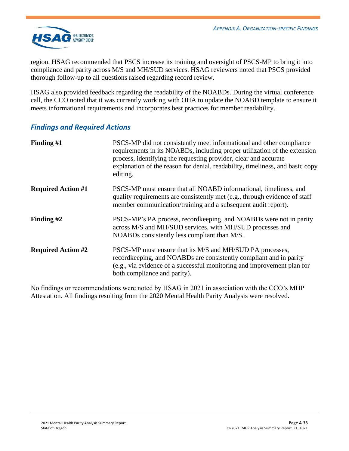

region. HSAG recommended that PSCS increase its training and oversight of PSCS-MP to bring it into compliance and parity across M/S and MH/SUD services. HSAG reviewers noted that PSCS provided thorough follow-up to all questions raised regarding record review.

HSAG also provided feedback regarding the readability of the NOABDs. During the virtual conference call, the CCO noted that it was currently working with OHA to update the NOABD template to ensure it meets informational requirements and incorporates best practices for member readability.

### *Findings and Required Actions*

| Finding $#1$              | PSCS-MP did not consistently meet informational and other compliance<br>requirements in its NOABDs, including proper utilization of the extension<br>process, identifying the requesting provider, clear and accurate<br>explanation of the reason for denial, readability, timeliness, and basic copy<br>editing. |
|---------------------------|--------------------------------------------------------------------------------------------------------------------------------------------------------------------------------------------------------------------------------------------------------------------------------------------------------------------|
| <b>Required Action #1</b> | PSCS-MP must ensure that all NOABD informational, timeliness, and<br>quality requirements are consistently met (e.g., through evidence of staff<br>member communication/training and a subsequent audit report).                                                                                                   |
| Finding $#2$              | PSCS-MP's PA process, record keeping, and NOABDs were not in parity<br>across M/S and MH/SUD services, with MH/SUD processes and<br>NOABDs consistently less compliant than M/S.                                                                                                                                   |
| <b>Required Action #2</b> | PSCS-MP must ensure that its M/S and MH/SUD PA processes,<br>record keeping, and NOABDs are consistently compliant and in parity<br>(e.g., via evidence of a successful monitoring and improvement plan for<br>both compliance and parity).                                                                        |

No findings or recommendations were noted by HSAG in 2021 in association with the CCO's MHP Attestation. All findings resulting from the 2020 Mental Health Parity Analysis were resolved.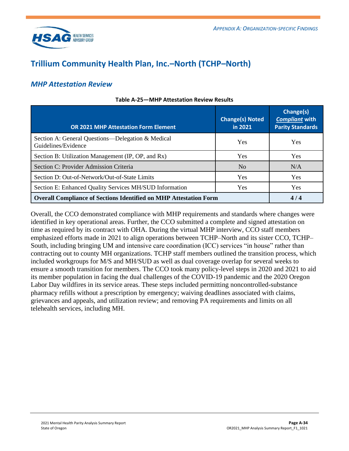

## <span id="page-51-0"></span>**Trillium Community Health Plan, Inc.–North (TCHP–North)**

### *MHP Attestation Review*

| <b>OR 2021 MHP Attestation Form Element</b>                              | <b>Change(s) Noted</b><br>in 2021 | Change(s)<br><b>Compliant with</b><br><b>Parity Standards</b> |
|--------------------------------------------------------------------------|-----------------------------------|---------------------------------------------------------------|
| Section A: General Questions—Delegation & Medical<br>Guidelines/Evidence | Yes                               | <b>Yes</b>                                                    |
| Section B: Utilization Management (IP, OP, and Rx)                       | <b>Yes</b>                        | <b>Yes</b>                                                    |
| Section C: Provider Admission Criteria                                   | N <sub>0</sub>                    | N/A                                                           |
| Section D: Out-of-Network/Out-of-State Limits                            | Yes                               | <b>Yes</b>                                                    |
| Section E: Enhanced Quality Services MH/SUD Information                  | <b>Yes</b>                        | <b>Yes</b>                                                    |
| <b>Overall Compliance of Sections Identified on MHP Attestation Form</b> |                                   | 4/4                                                           |

#### **Table A-25—MHP Attestation Review Results**

Overall, the CCO demonstrated compliance with MHP requirements and standards where changes were identified in key operational areas. Further, the CCO submitted a complete and signed attestation on time as required by its contract with OHA. During the virtual MHP interview, CCO staff members emphasized efforts made in 2021 to align operations between TCHP–North and its sister CCO, TCHP– South, including bringing UM and intensive care coordination (ICC) services "in house" rather than contracting out to county MH organizations. TCHP staff members outlined the transition process, which included workgroups for M/S and MH/SUD as well as dual coverage overlap for several weeks to ensure a smooth transition for members. The CCO took many policy-level steps in 2020 and 2021 to aid its member population in facing the dual challenges of the COVID-19 pandemic and the 2020 Oregon Labor Day wildfires in its service areas. These steps included permitting noncontrolled-substance pharmacy refills without a prescription by emergency; waiving deadlines associated with claims, grievances and appeals, and utilization review; and removing PA requirements and limits on all telehealth services, including MH.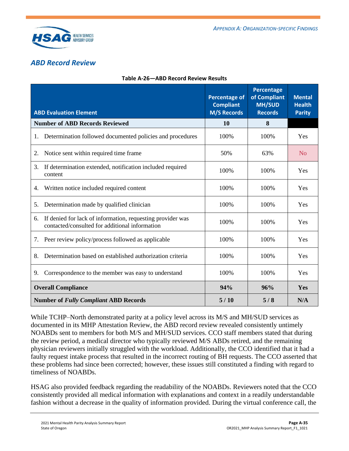

### *ABD Record Review*

|                                                                                                                    | <b>Percentage of</b><br><b>Compliant</b> | <b>Percentage</b><br>of Compliant<br><b>MH/SUD</b> | <b>Mental</b><br><b>Health</b> |
|--------------------------------------------------------------------------------------------------------------------|------------------------------------------|----------------------------------------------------|--------------------------------|
| <b>ABD Evaluation Element</b>                                                                                      | <b>M/S Records</b>                       | <b>Records</b>                                     | <b>Parity</b>                  |
| <b>Number of ABD Records Reviewed</b>                                                                              | 10                                       | 8                                                  |                                |
| Determination followed documented policies and procedures<br>1.                                                    | 100%                                     | 100%                                               | Yes                            |
| Notice sent within required time frame<br>2.                                                                       | 50%                                      | 63%                                                | N <sub>o</sub>                 |
| 3.<br>If determination extended, notification included required<br>content                                         | 100%                                     | 100%                                               | Yes                            |
| Written notice included required content<br>4.                                                                     | 100%                                     | 100%                                               | Yes                            |
| Determination made by qualified clinician<br>5.                                                                    | 100%                                     | 100%                                               | Yes                            |
| If denied for lack of information, requesting provider was<br>6.<br>contacted/consulted for additional information | 100%                                     | 100%                                               | Yes                            |
| Peer review policy/process followed as applicable<br>7.                                                            | 100%                                     | 100%                                               | Yes                            |
| Determination based on established authorization criteria<br>8.                                                    | 100%                                     | 100%                                               | Yes                            |
| Correspondence to the member was easy to understand<br>9.                                                          | 100%                                     | 100%                                               | Yes                            |
| <b>Overall Compliance</b>                                                                                          | 94%                                      | 96%                                                | Yes                            |
| <b>Number of Fully Compliant ABD Records</b>                                                                       | 5/10                                     | 5/8                                                | N/A                            |

### **Table A-26—ABD Record Review Results**

While TCHP–North demonstrated parity at a policy level across its M/S and MH/SUD services as documented in its MHP Attestation Review, the ABD record review revealed consistently untimely NOABDs sent to members for both M/S and MH/SUD services. CCO staff members stated that during the review period, a medical director who typically reviewed M/S ABDs retired, and the remaining physician reviewers initially struggled with the workload. Additionally, the CCO identified that it had a faulty request intake process that resulted in the incorrect routing of BH requests. The CCO asserted that these problems had since been corrected; however, these issues still constituted a finding with regard to timeliness of NOABDs.

HSAG also provided feedback regarding the readability of the NOABDs. Reviewers noted that the CCO consistently provided all medical information with explanations and context in a readily understandable fashion without a decrease in the quality of information provided. During the virtual conference call, the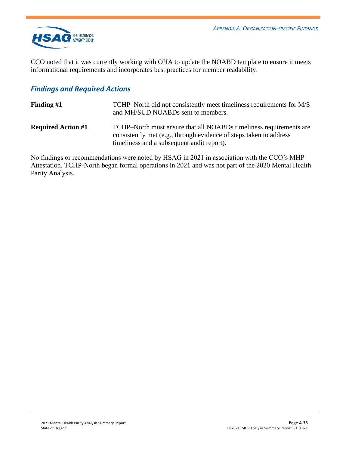

CCO noted that it was currently working with OHA to update the NOABD template to ensure it meets informational requirements and incorporates best practices for member readability.

### *Findings and Required Actions*

| Finding $#1$              | TCHP–North did not consistently meet timeliness requirements for M/S<br>and MH/SUD NOABDs sent to members.                                                                             |
|---------------------------|----------------------------------------------------------------------------------------------------------------------------------------------------------------------------------------|
| <b>Required Action #1</b> | TCHP–North must ensure that all NOABDs timeliness requirements are<br>consistently met (e.g., through evidence of steps taken to address<br>timeliness and a subsequent audit report). |

No findings or recommendations were noted by HSAG in 2021 in association with the CCO's MHP Attestation. TCHP-North began formal operations in 2021 and was not part of the 2020 Mental Health Parity Analysis.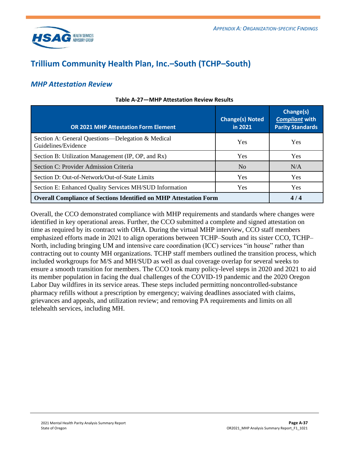

## <span id="page-54-0"></span>**Trillium Community Health Plan, Inc.–South (TCHP–South)**

### *MHP Attestation Review*

| <b>OR 2021 MHP Attestation Form Element</b>                              | <b>Change(s) Noted</b><br>in 2021 | Change(s)<br><b>Compliant with</b><br><b>Parity Standards</b> |
|--------------------------------------------------------------------------|-----------------------------------|---------------------------------------------------------------|
| Section A: General Questions—Delegation & Medical<br>Guidelines/Evidence | Yes                               | <b>Yes</b>                                                    |
| Section B: Utilization Management (IP, OP, and Rx)                       | <b>Yes</b>                        | <b>Yes</b>                                                    |
| Section C: Provider Admission Criteria                                   | N <sub>0</sub>                    | N/A                                                           |
| Section D: Out-of-Network/Out-of-State Limits                            | Yes                               | <b>Yes</b>                                                    |
| Section E: Enhanced Quality Services MH/SUD Information                  | <b>Yes</b>                        | <b>Yes</b>                                                    |
| <b>Overall Compliance of Sections Identified on MHP Attestation Form</b> |                                   | 4/4                                                           |

#### **Table A-27—MHP Attestation Review Results**

Overall, the CCO demonstrated compliance with MHP requirements and standards where changes were identified in key operational areas. Further, the CCO submitted a complete and signed attestation on time as required by its contract with OHA. During the virtual MHP interview, CCO staff members emphasized efforts made in 2021 to align operations between TCHP–South and its sister CCO, TCHP– North, including bringing UM and intensive care coordination (ICC) services "in house" rather than contracting out to county MH organizations. TCHP staff members outlined the transition process, which included workgroups for M/S and MH/SUD as well as dual coverage overlap for several weeks to ensure a smooth transition for members. The CCO took many policy-level steps in 2020 and 2021 to aid its member population in facing the dual challenges of the COVID-19 pandemic and the 2020 Oregon Labor Day wildfires in its service areas. These steps included permitting noncontrolled-substance pharmacy refills without a prescription by emergency; waiving deadlines associated with claims, grievances and appeals, and utilization review; and removing PA requirements and limits on all telehealth services, including MH.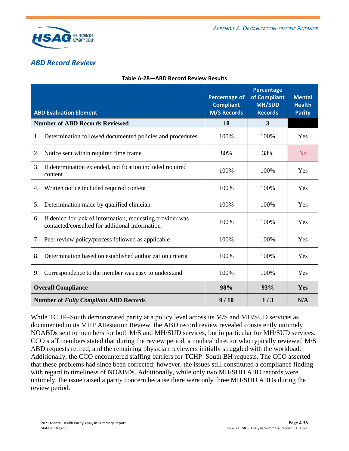

### *ABD Record Review*

| <b>ABD Evaluation Element</b>                                                                                      | <b>Percentage of</b><br><b>Compliant</b><br><b>M/S Records</b> | <b>Percentage</b><br>of Compliant<br><b>MH/SUD</b><br><b>Records</b> | <b>Mental</b><br><b>Health</b><br><b>Parity</b> |
|--------------------------------------------------------------------------------------------------------------------|----------------------------------------------------------------|----------------------------------------------------------------------|-------------------------------------------------|
| <b>Number of ABD Records Reviewed</b>                                                                              | 10                                                             | 3                                                                    |                                                 |
| Determination followed documented policies and procedures<br>1.                                                    | 100%                                                           | 100%                                                                 | Yes                                             |
| Notice sent within required time frame<br>2.                                                                       | 80%                                                            | 33%                                                                  | N <sub>0</sub>                                  |
| 3.<br>If determination extended, notification included required<br>content                                         | 100%                                                           | 100%                                                                 | Yes                                             |
| Written notice included required content<br>4.                                                                     | 100%                                                           | 100%                                                                 | Yes                                             |
| Determination made by qualified clinician<br>5.                                                                    | 100%                                                           | 100%                                                                 | Yes                                             |
| If denied for lack of information, requesting provider was<br>6.<br>contacted/consulted for additional information | 100%                                                           | 100%                                                                 | Yes                                             |
| Peer review policy/process followed as applicable<br>7.                                                            | 100%                                                           | 100%                                                                 | Yes                                             |
| Determination based on established authorization criteria<br>8.                                                    | 100%                                                           | 100%                                                                 | Yes                                             |
| Correspondence to the member was easy to understand<br>9.                                                          | 100%                                                           | 100%                                                                 | Yes                                             |
| <b>Overall Compliance</b>                                                                                          | 98%                                                            | 93%                                                                  | Yes                                             |
| <b>Number of Fully Compliant ABD Records</b>                                                                       | 9/10                                                           | 1/3                                                                  | N/A                                             |

#### **Table A-28—ABD Record Review Results**

While TCHP–South demonstrated parity at a policy level across its M/S and MH/SUD services as documented in its MHP Attestation Review, the ABD record review revealed consistently untimely NOABDs sent to members for both M/S and MH/SUD services, but in particular for MH/SUD services. CCO staff members stated that during the review period, a medical director who typically reviewed M/S ABD requests retired, and the remaining physician reviewers initially struggled with the workload. Additionally, the CCO encountered staffing barriers for TCHP–South BH requests. The CCO asserted that these problems had since been corrected; however, the issues still constituted a compliance finding with regard to timeliness of NOABDs. Additionally, while only two MH/SUD ABD records were untimely, the issue raised a parity concern because there were only three MH/SUD ABDs during the review period.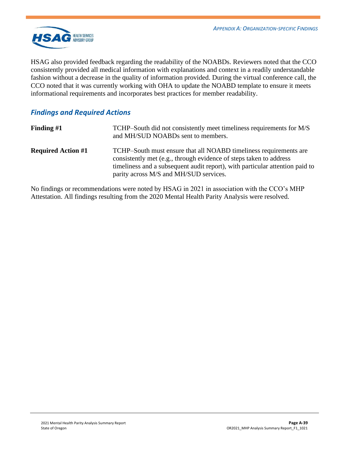

HSAG also provided feedback regarding the readability of the NOABDs. Reviewers noted that the CCO consistently provided all medical information with explanations and context in a readily understandable fashion without a decrease in the quality of information provided. During the virtual conference call, the CCO noted that it was currently working with OHA to update the NOABD template to ensure it meets informational requirements and incorporates best practices for member readability.

### *Findings and Required Actions*

| Finding #1                | TCHP–South did not consistently meet timeliness requirements for M/S<br>and MH/SUD NOABDs sent to members.                                                                                                                                                        |
|---------------------------|-------------------------------------------------------------------------------------------------------------------------------------------------------------------------------------------------------------------------------------------------------------------|
| <b>Required Action #1</b> | TCHP-South must ensure that all NOABD timeliness requirements are<br>consistently met (e.g., through evidence of steps taken to address<br>timeliness and a subsequent audit report), with particular attention paid to<br>parity across M/S and MH/SUD services. |

No findings or recommendations were noted by HSAG in 2021 in association with the CCO's MHP Attestation. All findings resulting from the 2020 Mental Health Parity Analysis were resolved.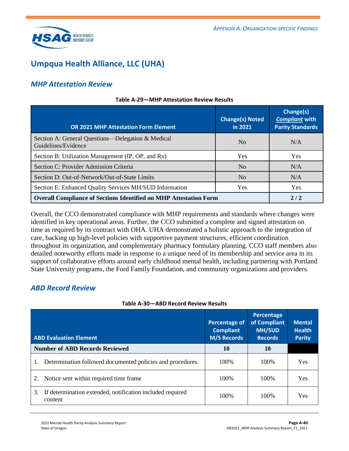

## <span id="page-57-0"></span>**Umpqua Health Alliance, LLC (UHA)**

### *MHP Attestation Review*

| <b>OR 2021 MHP Attestation Form Element</b>                              | <b>Change(s) Noted</b><br>in 2021 | Change(s)<br><b>Compliant with</b><br><b>Parity Standards</b> |
|--------------------------------------------------------------------------|-----------------------------------|---------------------------------------------------------------|
| Section A: General Questions—Delegation & Medical<br>Guidelines/Evidence | N <sub>0</sub>                    | N/A                                                           |
| Section B: Utilization Management (IP, OP, and Rx)                       | <b>Yes</b>                        | <b>Yes</b>                                                    |
| Section C: Provider Admission Criteria                                   | No                                | N/A                                                           |
| Section D: Out-of-Network/Out-of-State Limits                            | No                                | N/A                                                           |
| Section E: Enhanced Quality Services MH/SUD Information                  | Yes                               | Yes                                                           |
| <b>Overall Compliance of Sections Identified on MHP Attestation Form</b> |                                   | 2/2                                                           |

#### **Table A-29—MHP Attestation Review Results**

Overall, the CCO demonstrated compliance with MHP requirements and standards where changes were identified in key operational areas. Further, the CCO submitted a complete and signed attestation on time as required by its contract with OHA. UHA demonstrated a holistic approach to the integration of care, backing up high-level policies with supportive payment structures, efficient coordination throughout its organization, and complementary pharmacy formulary planning. CCO staff members also detailed noteworthy efforts made in response to a unique need of its membership and service area in its support of collaborative efforts around early childhood mental health, including partnering with Portland State University programs, the Ford Family Foundation, and community organizations and providers.

### *ABD Record Review*

| Table A-30-ABD Record Review Results |  |  |  |
|--------------------------------------|--|--|--|
|--------------------------------------|--|--|--|

| <b>ABD Evaluation Element</b>                                              | <b>Percentage of</b><br><b>Compliant</b><br><b>M/S Records</b> | Percentage<br>of Compliant<br><b>MH/SUD</b><br><b>Records</b> | <b>Mental</b><br><b>Health</b><br><b>Parity</b> |
|----------------------------------------------------------------------------|----------------------------------------------------------------|---------------------------------------------------------------|-------------------------------------------------|
| <b>Number of ABD Records Reviewed</b>                                      | 10                                                             | 10                                                            |                                                 |
| Determination followed documented policies and procedures                  | 100\%                                                          | 100\%                                                         | Yes                                             |
| Notice sent within required time frame.<br>2.                              | 100\%                                                          | 100\%                                                         | <b>Yes</b>                                      |
| If determination extended, notification included required<br>3.<br>content | 100\%                                                          | 100\%                                                         | Yes                                             |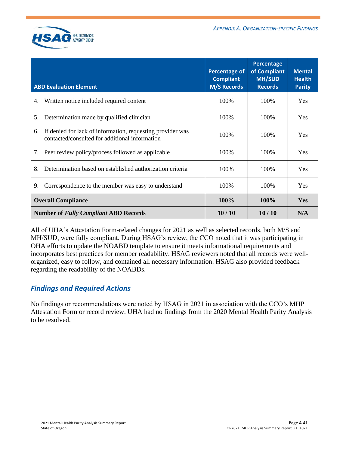

| <b>ABD Evaluation Element</b>                                                                                      | <b>Percentage of</b><br><b>Compliant</b><br><b>M/S Records</b> | Percentage<br>of Compliant<br><b>MH/SUD</b><br><b>Records</b> | <b>Mental</b><br><b>Health</b><br><b>Parity</b> |
|--------------------------------------------------------------------------------------------------------------------|----------------------------------------------------------------|---------------------------------------------------------------|-------------------------------------------------|
| Written notice included required content<br>4.                                                                     | 100%                                                           | 100%                                                          | Yes                                             |
| Determination made by qualified clinician<br>5.                                                                    | 100%                                                           | 100%                                                          | <b>Yes</b>                                      |
| If denied for lack of information, requesting provider was<br>6.<br>contacted/consulted for additional information | 100%                                                           | 100\%                                                         | <b>Yes</b>                                      |
| Peer review policy/process followed as applicable<br>7.                                                            | 100%                                                           | 100%                                                          | <b>Yes</b>                                      |
| Determination based on established authorization criteria<br>8.                                                    | 100%                                                           | 100%                                                          | Yes                                             |
| Correspondence to the member was easy to understand<br>9.                                                          | 100%                                                           | 100%                                                          | Yes                                             |
| <b>Overall Compliance</b>                                                                                          | 100%                                                           | 100%                                                          | Yes                                             |
| <b>Number of Fully Compliant ABD Records</b>                                                                       | 10/10                                                          | 10/10                                                         | N/A                                             |

All of UHA's Attestation Form-related changes for 2021 as well as selected records, both M/S and MH/SUD, were fully compliant. During HSAG's review, the CCO noted that it was participating in OHA efforts to update the NOABD template to ensure it meets informational requirements and incorporates best practices for member readability. HSAG reviewers noted that all records were wellorganized, easy to follow, and contained all necessary information. HSAG also provided feedback regarding the readability of the NOABDs.

### *Findings and Required Actions*

No findings or recommendations were noted by HSAG in 2021 in association with the CCO's MHP Attestation Form or record review. UHA had no findings from the 2020 Mental Health Parity Analysis to be resolved.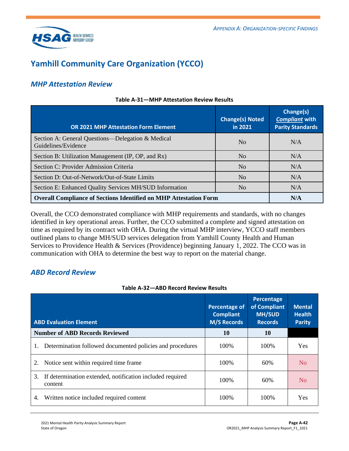

## <span id="page-59-0"></span>**Yamhill Community Care Organization (YCCO)**

### *MHP Attestation Review*

| <b>OR 2021 MHP Attestation Form Element</b>                              | <b>Change(s) Noted</b><br>in 2021 | Change(s)<br><b>Compliant with</b><br><b>Parity Standards</b> |
|--------------------------------------------------------------------------|-----------------------------------|---------------------------------------------------------------|
| Section A: General Questions—Delegation & Medical<br>Guidelines/Evidence | N <sub>0</sub>                    | N/A                                                           |
| Section B: Utilization Management (IP, OP, and Rx)                       | N <sub>0</sub>                    | N/A                                                           |
| Section C: Provider Admission Criteria                                   | N <sub>o</sub>                    | N/A                                                           |
| Section D: Out-of-Network/Out-of-State Limits                            | N <sub>0</sub>                    | N/A                                                           |
| Section E: Enhanced Quality Services MH/SUD Information                  | N <sub>0</sub>                    | N/A                                                           |
| <b>Overall Compliance of Sections Identified on MHP Attestation Form</b> |                                   | N/A                                                           |

#### **Table A-31—MHP Attestation Review Results**

Overall, the CCO demonstrated compliance with MHP requirements and standards, with no changes identified in key operational areas. Further, the CCO submitted a complete and signed attestation on time as required by its contract with OHA. During the virtual MHP interview, YCCO staff members outlined plans to change MH/SUD services delegation from Yamhill County Health and Human Services to Providence Health & Services (Providence) beginning January 1, 2022. The CCO was in communication with OHA to determine the best way to report on the material change.

### *ABD Record Review*

#### **Table A-32—ABD Record Review Results**

| <b>ABD Evaluation Element</b>                                              | <b>Percentage of</b><br><b>Compliant</b><br><b>M/S Records</b> | Percentage<br>of Compliant<br><b>MH/SUD</b><br><b>Records</b> | <b>Mental</b><br><b>Health</b><br><b>Parity</b> |
|----------------------------------------------------------------------------|----------------------------------------------------------------|---------------------------------------------------------------|-------------------------------------------------|
| <b>Number of ABD Records Reviewed</b>                                      | 10                                                             | 10                                                            |                                                 |
| Determination followed documented policies and procedures<br>1.            | 100\%                                                          | 100%                                                          | Yes                                             |
| Notice sent within required time frame.<br>2.                              | 100\%                                                          | 60%                                                           | No                                              |
| If determination extended, notification included required<br>3.<br>content | 100\%                                                          | 60%                                                           | N <sub>0</sub>                                  |
| Written notice included required content<br>4.                             | 100\%                                                          | 100\%                                                         | <b>Yes</b>                                      |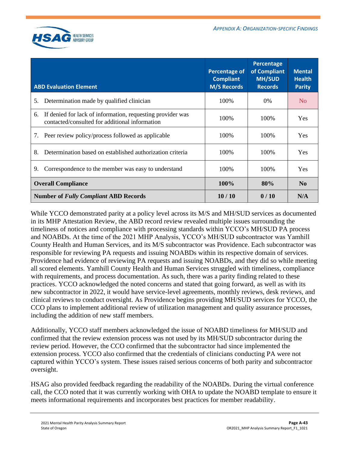

| <b>ABD Evaluation Element</b>                                                                                      | <b>Percentage of</b><br><b>Compliant</b><br><b>M/S Records</b> | Percentage<br>of Compliant<br><b>MH/SUD</b><br><b>Records</b> | <b>Mental</b><br><b>Health</b><br><b>Parity</b> |
|--------------------------------------------------------------------------------------------------------------------|----------------------------------------------------------------|---------------------------------------------------------------|-------------------------------------------------|
| Determination made by qualified clinician<br>5.                                                                    | 100\%                                                          | $0\%$                                                         | N <sub>0</sub>                                  |
| If denied for lack of information, requesting provider was<br>6.<br>contacted/consulted for additional information | 100\%                                                          | 100\%                                                         | Yes                                             |
| Peer review policy/process followed as applicable<br>7.                                                            | 100\%                                                          | 100\%                                                         | <b>Yes</b>                                      |
| 8.<br>Determination based on established authorization criteria                                                    | 100\%                                                          | 100\%                                                         | <b>Yes</b>                                      |
| Correspondence to the member was easy to understand<br>9.                                                          | 100\%                                                          | 100\%                                                         | <b>Yes</b>                                      |
| <b>Overall Compliance</b>                                                                                          | 100%                                                           | 80%                                                           | N <sub>0</sub>                                  |
| <b>Number of Fully Compliant ABD Records</b>                                                                       | 10/10                                                          | 0/10                                                          | N/A                                             |

While YCCO demonstrated parity at a policy level across its M/S and MH/SUD services as documented in its MHP Attestation Review, the ABD record review revealed multiple issues surrounding the timeliness of notices and compliance with processing standards within YCCO's MH/SUD PA process and NOABDs. At the time of the 2021 MHP Analysis, YCCO's MH/SUD subcontractor was Yamhill County Health and Human Services, and its M/S subcontractor was Providence. Each subcontractor was responsible for reviewing PA requests and issuing NOABDs within its respective domain of services. Providence had evidence of reviewing PA requests and issuing NOABDs, and they did so while meeting all scored elements. Yamhill County Health and Human Services struggled with timeliness, compliance with requirements, and process documentation. As such, there was a parity finding related to these practices. YCCO acknowledged the noted concerns and stated that going forward, as well as with its new subcontractor in 2022, it would have service-level agreements, monthly reviews, desk reviews, and clinical reviews to conduct oversight. As Providence begins providing MH/SUD services for YCCO, the CCO plans to implement additional review of utilization management and quality assurance processes, including the addition of new staff members.

Additionally, YCCO staff members acknowledged the issue of NOABD timeliness for MH/SUD and confirmed that the review extension process was not used by its MH/SUD subcontractor during the review period. However, the CCO confirmed that the subcontractor had since implemented the extension process. YCCO also confirmed that the credentials of clinicians conducting PA were not captured within YCCO's system. These issues raised serious concerns of both parity and subcontractor oversight.

HSAG also provided feedback regarding the readability of the NOABDs. During the virtual conference call, the CCO noted that it was currently working with OHA to update the NOABD template to ensure it meets informational requirements and incorporates best practices for member readability.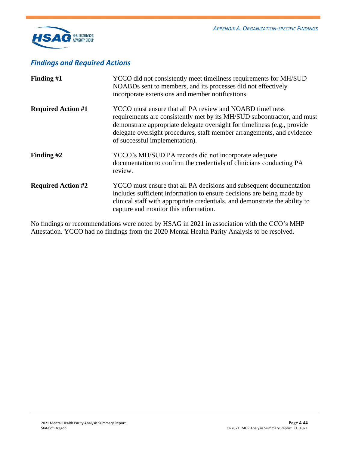

### *Findings and Required Actions*

| Finding $#1$              | YCCO did not consistently meet timeliness requirements for MH/SUD<br>NOABDs sent to members, and its processes did not effectively<br>incorporate extensions and member notifications.                                                                                                                                      |
|---------------------------|-----------------------------------------------------------------------------------------------------------------------------------------------------------------------------------------------------------------------------------------------------------------------------------------------------------------------------|
| <b>Required Action #1</b> | YCCO must ensure that all PA review and NOABD timeliness<br>requirements are consistently met by its MH/SUD subcontractor, and must<br>demonstrate appropriate delegate oversight for timeliness (e.g., provide<br>delegate oversight procedures, staff member arrangements, and evidence<br>of successful implementation). |
| Finding $#2$              | YCCO's MH/SUD PA records did not incorporate adequate<br>documentation to confirm the credentials of clinicians conducting PA<br>review.                                                                                                                                                                                    |
| <b>Required Action #2</b> | YCCO must ensure that all PA decisions and subsequent documentation<br>includes sufficient information to ensure decisions are being made by<br>clinical staff with appropriate credentials, and demonstrate the ability to<br>capture and monitor this information.                                                        |

No findings or recommendations were noted by HSAG in 2021 in association with the CCO's MHP Attestation. YCCO had no findings from the 2020 Mental Health Parity Analysis to be resolved.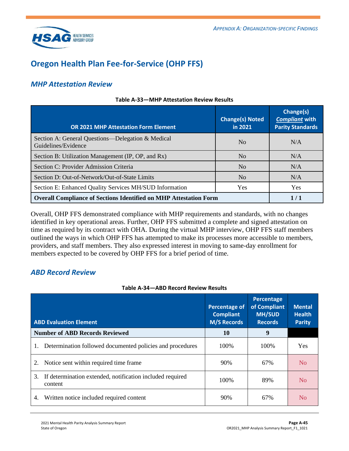

## <span id="page-62-0"></span>**Oregon Health Plan Fee-for-Service (OHP FFS)**

### *MHP Attestation Review*

| <b>OR 2021 MHP Attestation Form Element</b>                              | <b>Change(s) Noted</b><br>in 2021 | Change(s)<br><b>Compliant with</b><br><b>Parity Standards</b> |
|--------------------------------------------------------------------------|-----------------------------------|---------------------------------------------------------------|
| Section A: General Questions—Delegation & Medical<br>Guidelines/Evidence | N <sub>0</sub>                    | N/A                                                           |
| Section B: Utilization Management (IP, OP, and Rx)                       | N <sub>0</sub>                    | N/A                                                           |
| Section C: Provider Admission Criteria                                   | N <sub>o</sub>                    | N/A                                                           |
| Section D: Out-of-Network/Out-of-State Limits                            | N <sub>0</sub>                    | N/A                                                           |
| Section E: Enhanced Quality Services MH/SUD Information                  | Yes                               | Yes                                                           |
| <b>Overall Compliance of Sections Identified on MHP Attestation Form</b> |                                   | 1/1                                                           |

#### **Table A-33—MHP Attestation Review Results**

Overall, OHP FFS demonstrated compliance with MHP requirements and standards, with no changes identified in key operational areas. Further, OHP FFS submitted a complete and signed attestation on time as required by its contract with OHA. During the virtual MHP interview, OHP FFS staff members outlined the ways in which OHP FFS has attempted to make its processes more accessible to members, providers, and staff members. They also expressed interest in moving to same-day enrollment for members expected to be covered by OHP FFS for a brief period of time.

### *ABD Record Review*

#### **Table A-34—ABD Record Review Results**

| <b>ABD Evaluation Element</b>                                              | <b>Percentage of</b><br><b>Compliant</b><br><b>M/S Records</b> | Percentage<br>of Compliant<br><b>MH/SUD</b><br><b>Records</b> | <b>Mental</b><br><b>Health</b><br><b>Parity</b> |
|----------------------------------------------------------------------------|----------------------------------------------------------------|---------------------------------------------------------------|-------------------------------------------------|
| <b>Number of ABD Records Reviewed</b>                                      | 10                                                             | 9                                                             |                                                 |
| Determination followed documented policies and procedures                  | 100%                                                           | 100%                                                          | <b>Yes</b>                                      |
| Notice sent within required time frame.<br>2.                              | 90%                                                            | 67%                                                           | No                                              |
| If determination extended, notification included required<br>3.<br>content | 100\%                                                          | 89%                                                           | N <sub>o</sub>                                  |
| Written notice included required content<br>4.                             | 90%                                                            | 67%                                                           | N <sub>O</sub>                                  |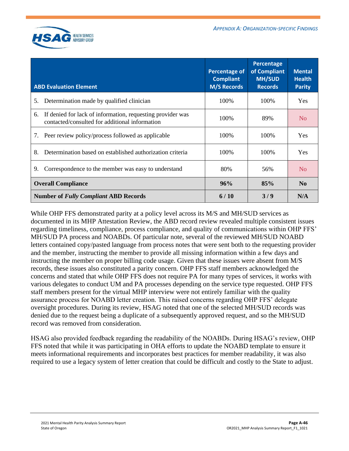

| <b>ABD Evaluation Element</b>                                                                                      | <b>Percentage of</b><br><b>Compliant</b><br><b>M/S Records</b> | Percentage<br>of Compliant<br><b>MH/SUD</b><br><b>Records</b> | <b>Mental</b><br><b>Health</b><br><b>Parity</b> |
|--------------------------------------------------------------------------------------------------------------------|----------------------------------------------------------------|---------------------------------------------------------------|-------------------------------------------------|
| Determination made by qualified clinician<br>5.                                                                    | 100\%                                                          | 100\%                                                         | <b>Yes</b>                                      |
| If denied for lack of information, requesting provider was<br>6.<br>contacted/consulted for additional information | 100\%                                                          | 89%                                                           | N <sub>0</sub>                                  |
| Peer review policy/process followed as applicable<br>7.                                                            | 100\%                                                          | 100\%                                                         | <b>Yes</b>                                      |
| 8.<br>Determination based on established authorization criteria                                                    | 100\%                                                          | 100\%                                                         | <b>Yes</b>                                      |
| Correspondence to the member was easy to understand<br>9.                                                          | 80%                                                            | 56%                                                           | N <sub>0</sub>                                  |
| <b>Overall Compliance</b>                                                                                          | 96%                                                            | 85%                                                           | N <sub>0</sub>                                  |
| <b>Number of Fully Compliant ABD Records</b>                                                                       | 6/10                                                           | 3/9                                                           | N/A                                             |

While OHP FFS demonstrated parity at a policy level across its M/S and MH/SUD services as documented in its MHP Attestation Review, the ABD record review revealed multiple consistent issues regarding timeliness, compliance, process compliance, and quality of communications within OHP FFS' MH/SUD PA process and NOABDs. Of particular note, several of the reviewed MH/SUD NOABD letters contained copy/pasted language from process notes that were sent both to the requesting provider and the member, instructing the member to provide all missing information within a few days and instructing the member on proper billing code usage. Given that these issues were absent from M/S records, these issues also constituted a parity concern. OHP FFS staff members acknowledged the concerns and stated that while OHP FFS does not require PA for many types of services, it works with various delegates to conduct UM and PA processes depending on the service type requested. OHP FFS staff members present for the virtual MHP interview were not entirely familiar with the quality assurance process for NOABD letter creation. This raised concerns regarding OHP FFS' delegate oversight procedures. During its review, HSAG noted that one of the selected MH/SUD records was denied due to the request being a duplicate of a subsequently approved request, and so the MH/SUD record was removed from consideration.

HSAG also provided feedback regarding the readability of the NOABDs. During HSAG's review, OHP FFS noted that while it was participating in OHA efforts to update the NOABD template to ensure it meets informational requirements and incorporates best practices for member readability, it was also required to use a legacy system of letter creation that could be difficult and costly to the State to adjust.